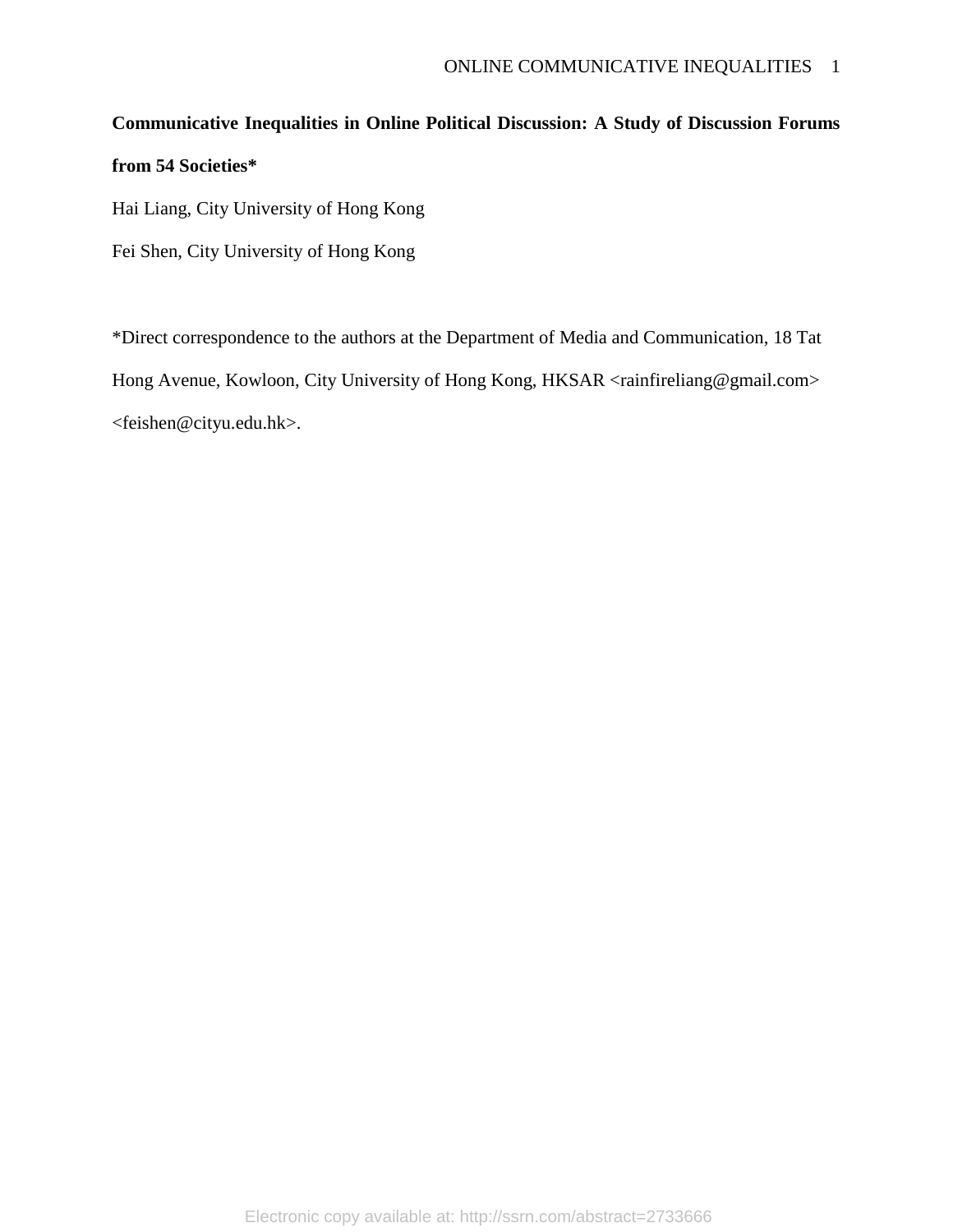## **Communicative Inequalities in Online Political Discussion: A Study of Discussion Forums**

## **from 54 Societies\***

Hai Liang, City University of Hong Kong

Fei Shen, City University of Hong Kong

\*Direct correspondence to the authors at the Department of Media and Communication, 18 Tat Hong Avenue, Kowloon, City University of Hong Kong, HKSAR <rainfireliang@gmail.com> <feishen@cityu.edu.hk>.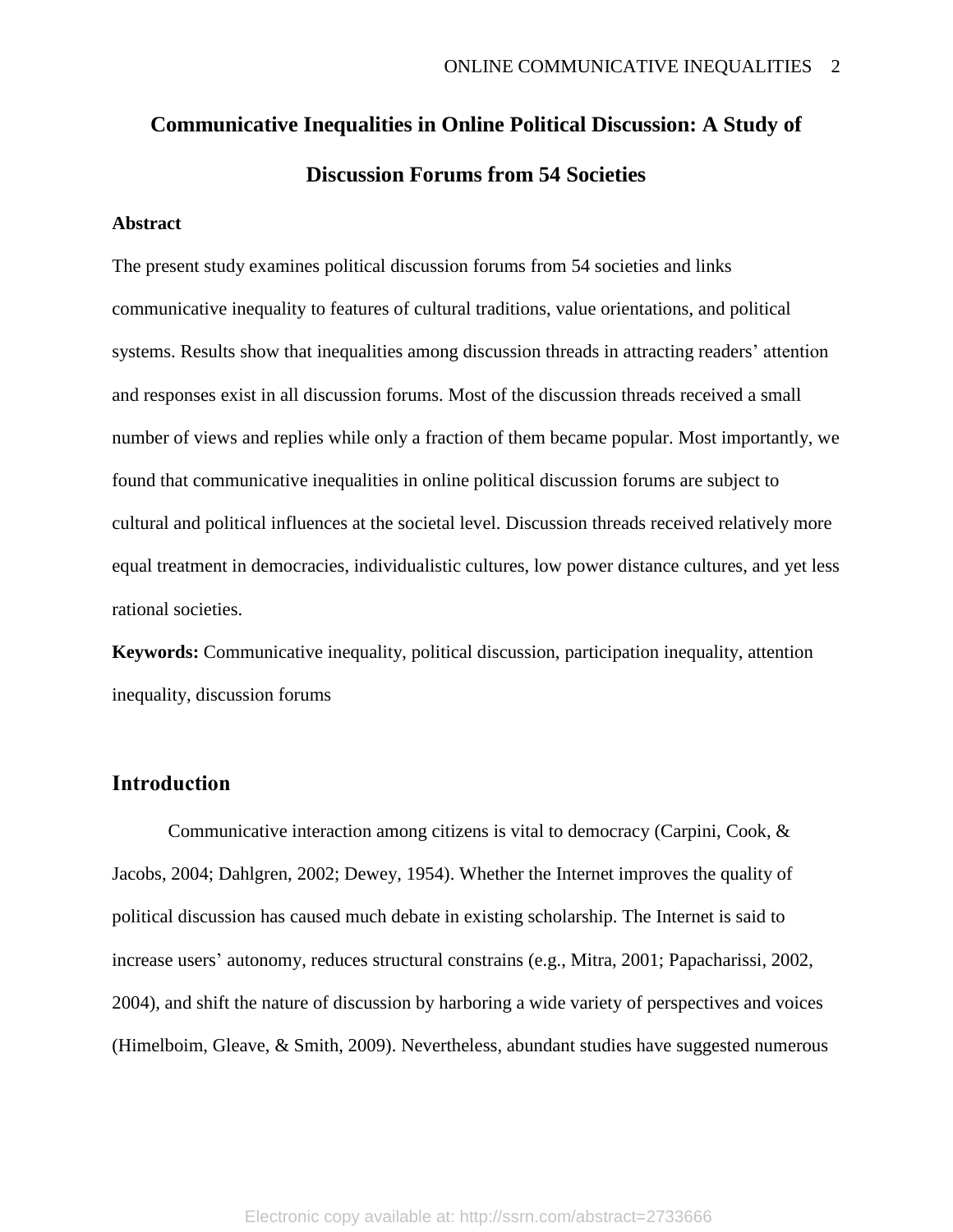# **Communicative Inequalities in Online Political Discussion: A Study of Discussion Forums from 54 Societies**

#### **Abstract**

The present study examines political discussion forums from 54 societies and links communicative inequality to features of cultural traditions, value orientations, and political systems. Results show that inequalities among discussion threads in attracting readers' attention and responses exist in all discussion forums. Most of the discussion threads received a small number of views and replies while only a fraction of them became popular. Most importantly, we found that communicative inequalities in online political discussion forums are subject to cultural and political influences at the societal level. Discussion threads received relatively more equal treatment in democracies, individualistic cultures, low power distance cultures, and yet less rational societies.

**Keywords:** Communicative inequality, political discussion, participation inequality, attention inequality, discussion forums

## **Introduction**

Communicative interaction among citizens is vital to democracy (Carpini, Cook, & Jacobs, 2004; Dahlgren, 2002; Dewey, 1954). Whether the Internet improves the quality of political discussion has caused much debate in existing scholarship. The Internet is said to increase users' autonomy, reduces structural constrains (e.g., Mitra, 2001; Papacharissi, 2002, 2004), and shift the nature of discussion by harboring a wide variety of perspectives and voices (Himelboim, Gleave, & Smith, 2009). Nevertheless, abundant studies have suggested numerous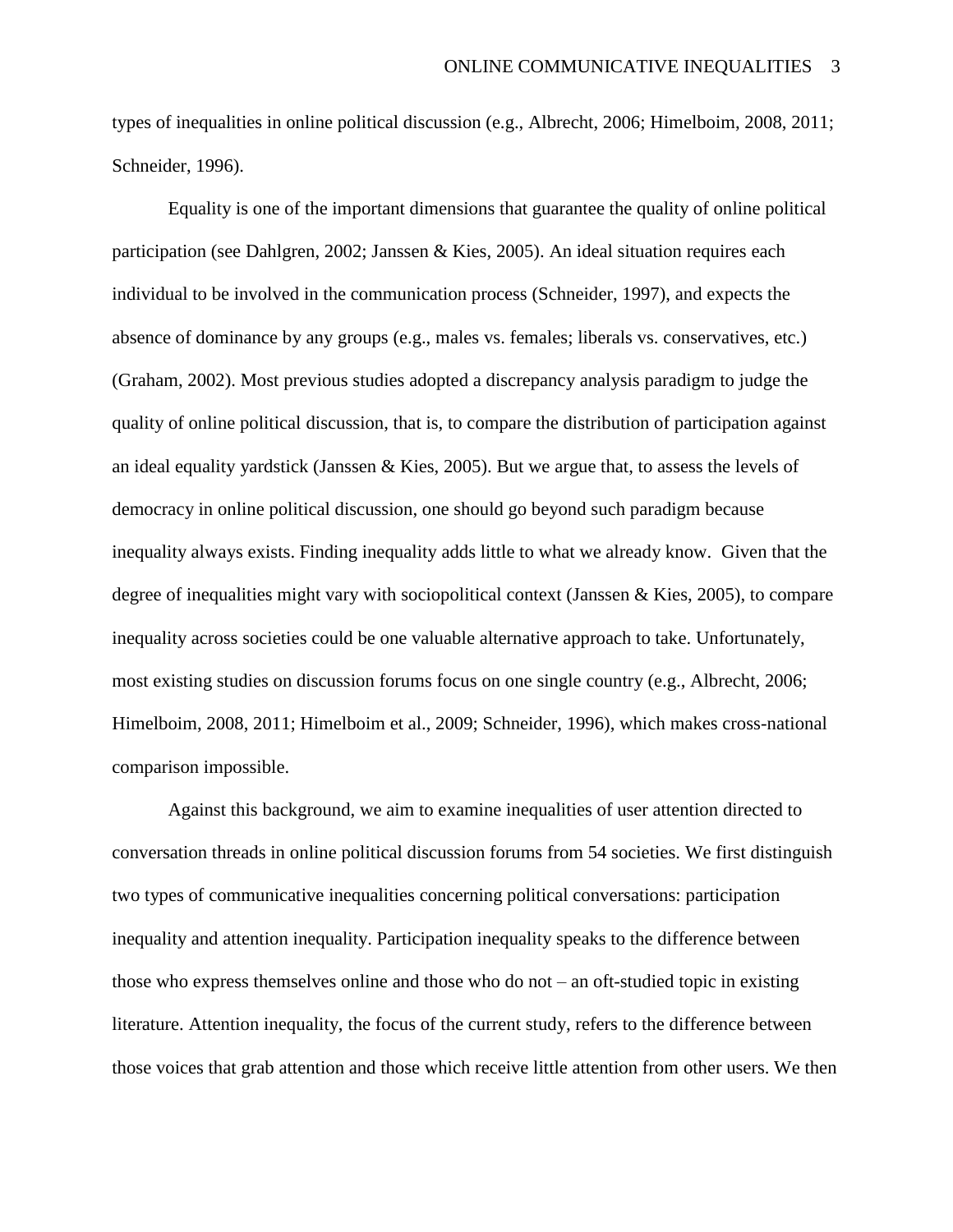types of inequalities in online political discussion (e.g., Albrecht, 2006; Himelboim, 2008, 2011; Schneider, 1996).

Equality is one of the important dimensions that guarantee the quality of online political participation (see Dahlgren, 2002; Janssen & Kies, 2005). An ideal situation requires each individual to be involved in the communication process (Schneider, 1997), and expects the absence of dominance by any groups (e.g., males vs. females; liberals vs. conservatives, etc.) (Graham, 2002). Most previous studies adopted a discrepancy analysis paradigm to judge the quality of online political discussion, that is, to compare the distribution of participation against an ideal equality yardstick (Janssen & Kies, 2005). But we argue that, to assess the levels of democracy in online political discussion, one should go beyond such paradigm because inequality always exists. Finding inequality adds little to what we already know. Given that the degree of inequalities might vary with sociopolitical context (Janssen & Kies, 2005), to compare inequality across societies could be one valuable alternative approach to take. Unfortunately, most existing studies on discussion forums focus on one single country (e.g., Albrecht, 2006; Himelboim, 2008, 2011; Himelboim et al., 2009; Schneider, 1996), which makes cross-national comparison impossible.

Against this background, we aim to examine inequalities of user attention directed to conversation threads in online political discussion forums from 54 societies. We first distinguish two types of communicative inequalities concerning political conversations: participation inequality and attention inequality. Participation inequality speaks to the difference between those who express themselves online and those who do not – an oft-studied topic in existing literature. Attention inequality, the focus of the current study, refers to the difference between those voices that grab attention and those which receive little attention from other users. We then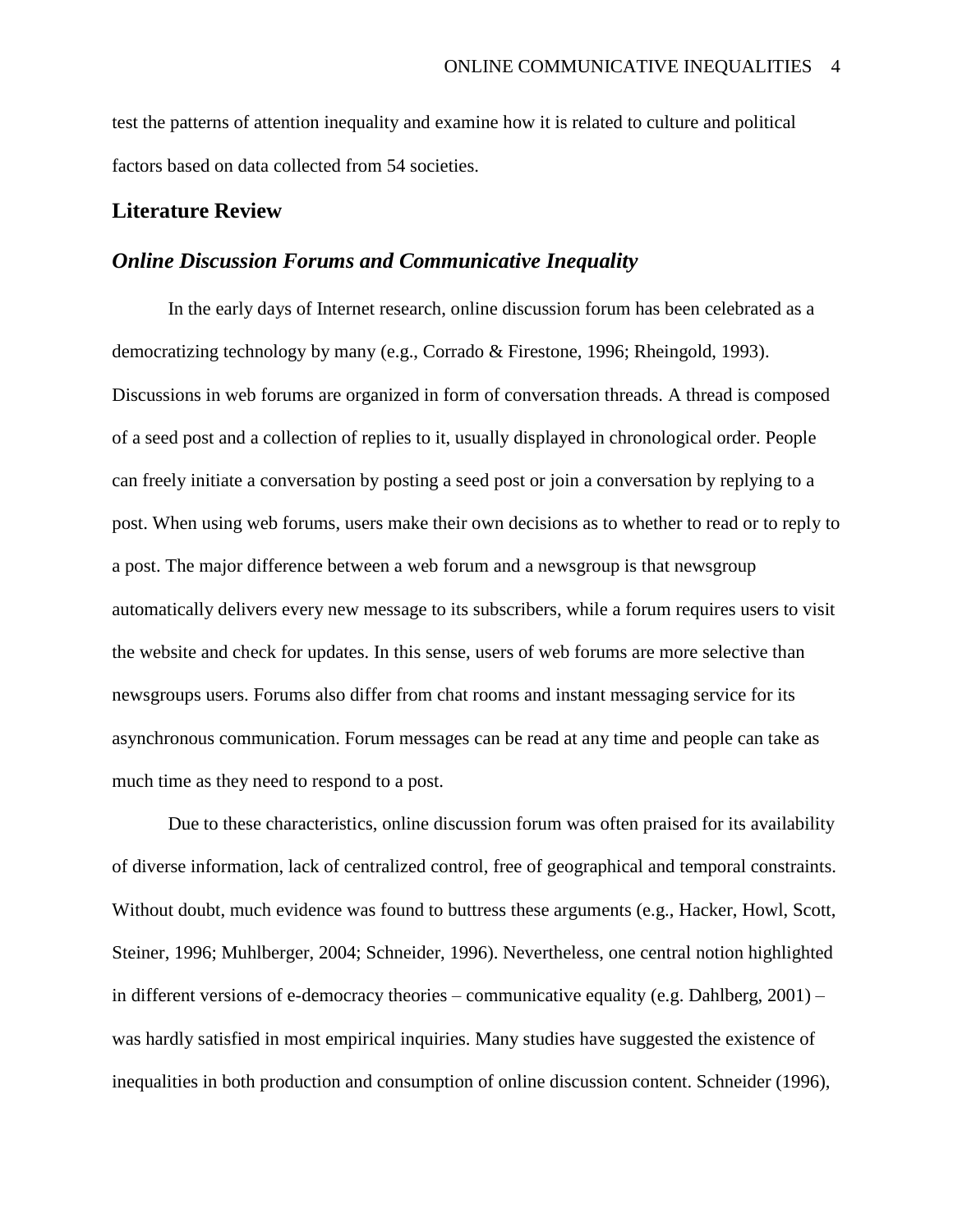test the patterns of attention inequality and examine how it is related to culture and political factors based on data collected from 54 societies.

#### **Literature Review**

## *Online Discussion Forums and Communicative Inequality*

In the early days of Internet research, online discussion forum has been celebrated as a democratizing technology by many (e.g., Corrado & Firestone, 1996; Rheingold, 1993). Discussions in web forums are organized in form of conversation threads. A thread is composed of a seed post and a collection of replies to it, usually displayed in chronological order. People can freely initiate a conversation by posting a seed post or join a conversation by replying to a post. When using web forums, users make their own decisions as to whether to read or to reply to a post. The major difference between a web forum and a newsgroup is that newsgroup automatically delivers every new message to its subscribers, while a forum requires users to visit the website and check for updates. In this sense, users of web forums are more selective than newsgroups users. Forums also differ from chat rooms and instant messaging service for its asynchronous communication. Forum messages can be read at any time and people can take as much time as they need to respond to a post.

Due to these characteristics, online discussion forum was often praised for its availability of diverse information, lack of centralized control, free of geographical and temporal constraints. Without doubt, much evidence was found to buttress these arguments (e.g., Hacker, Howl, Scott, Steiner, 1996; Muhlberger, 2004; Schneider, 1996). Nevertheless, one central notion highlighted in different versions of e-democracy theories – communicative equality (e.g. Dahlberg, 2001) – was hardly satisfied in most empirical inquiries. Many studies have suggested the existence of inequalities in both production and consumption of online discussion content. Schneider (1996),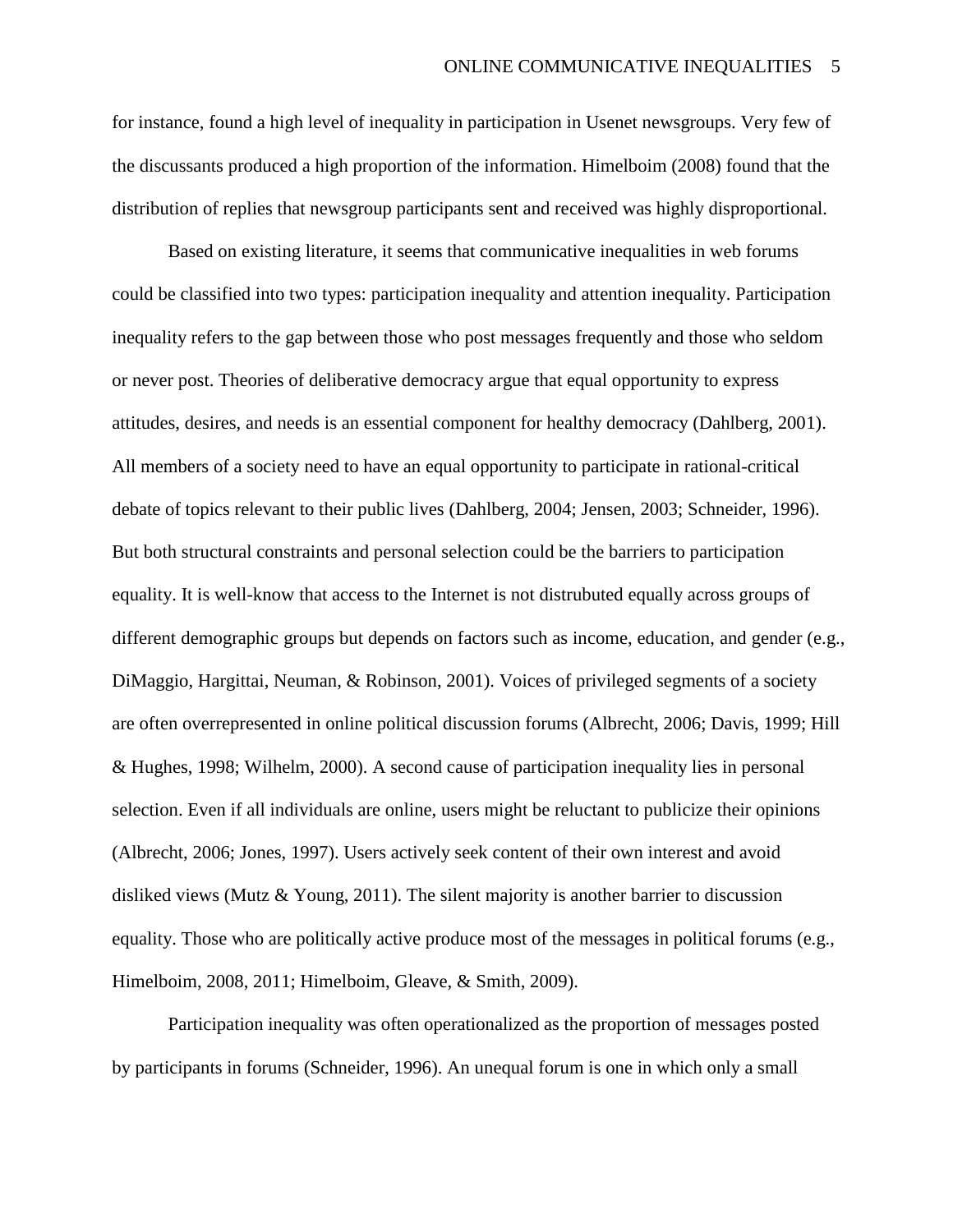for instance, found a high level of inequality in participation in Usenet newsgroups. Very few of the discussants produced a high proportion of the information. Himelboim (2008) found that the distribution of replies that newsgroup participants sent and received was highly disproportional.

Based on existing literature, it seems that communicative inequalities in web forums could be classified into two types: participation inequality and attention inequality. Participation inequality refers to the gap between those who post messages frequently and those who seldom or never post. Theories of deliberative democracy argue that equal opportunity to express attitudes, desires, and needs is an essential component for healthy democracy (Dahlberg, 2001). All members of a society need to have an equal opportunity to participate in rational-critical debate of topics relevant to their public lives (Dahlberg, 2004; Jensen, 2003; Schneider, 1996). But both structural constraints and personal selection could be the barriers to participation equality. It is well-know that access to the Internet is not distrubuted equally across groups of different demographic groups but depends on factors such as income, education, and gender (e.g., DiMaggio, Hargittai, Neuman, & Robinson, 2001). Voices of privileged segments of a society are often overrepresented in online political discussion forums (Albrecht, 2006; Davis, 1999; Hill & Hughes, 1998; Wilhelm, 2000). A second cause of participation inequality lies in personal selection. Even if all individuals are online, users might be reluctant to publicize their opinions (Albrecht, 2006; Jones, 1997). Users actively seek content of their own interest and avoid disliked views (Mutz  $& Young, 2011$ ). The silent majority is another barrier to discussion equality. Those who are politically active produce most of the messages in political forums (e.g., Himelboim, 2008, 2011; Himelboim, Gleave, & Smith, 2009).

Participation inequality was often operationalized as the proportion of messages posted by participants in forums (Schneider, 1996). An unequal forum is one in which only a small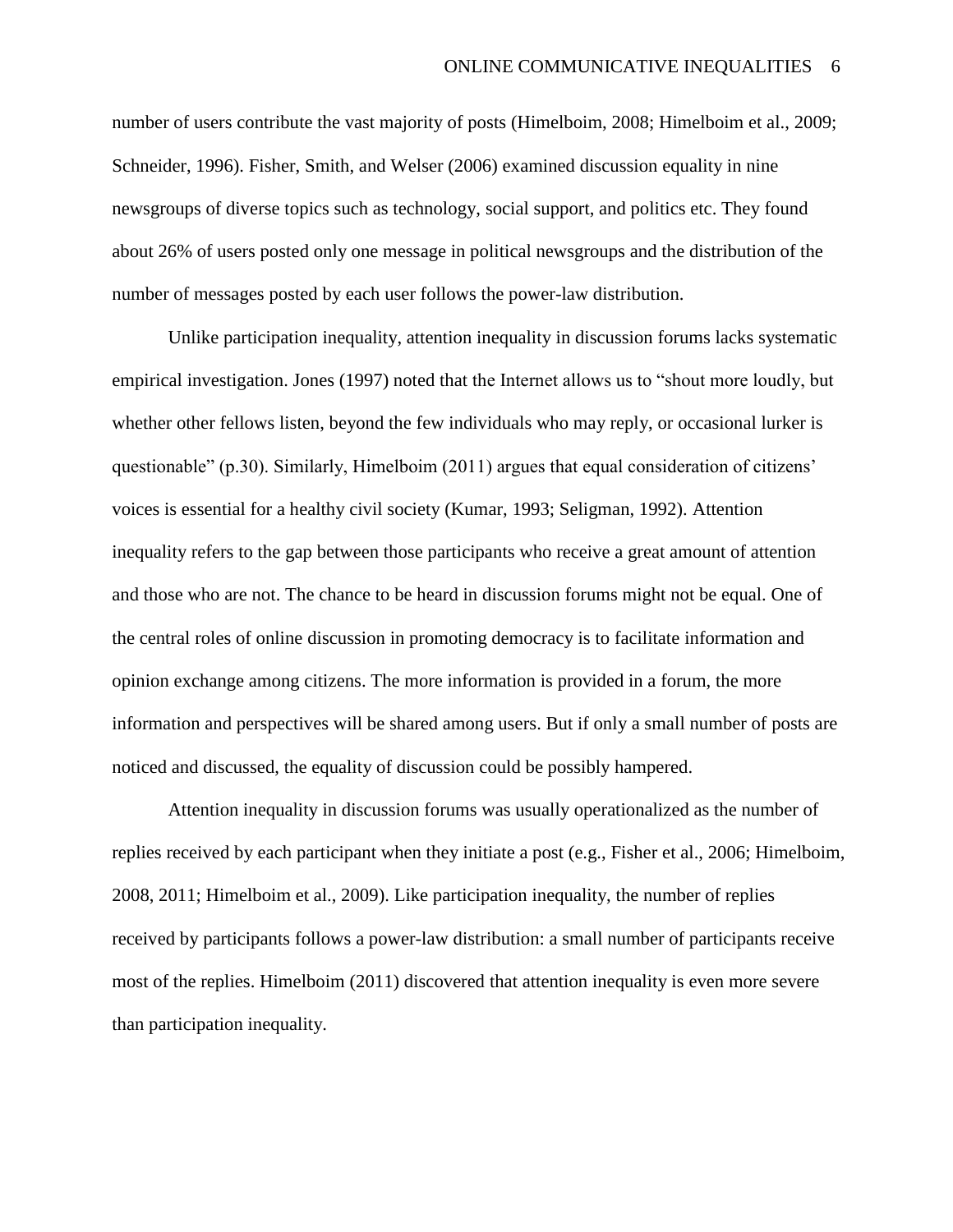number of users contribute the vast majority of posts (Himelboim, 2008; Himelboim et al., 2009; Schneider, 1996). Fisher, Smith, and Welser (2006) examined discussion equality in nine newsgroups of diverse topics such as technology, social support, and politics etc. They found about 26% of users posted only one message in political newsgroups and the distribution of the number of messages posted by each user follows the power-law distribution.

Unlike participation inequality, attention inequality in discussion forums lacks systematic empirical investigation. Jones (1997) noted that the Internet allows us to "shout more loudly, but whether other fellows listen, beyond the few individuals who may reply, or occasional lurker is questionable" (p.30). Similarly, Himelboim (2011) argues that equal consideration of citizens' voices is essential for a healthy civil society (Kumar, 1993; Seligman, 1992). Attention inequality refers to the gap between those participants who receive a great amount of attention and those who are not. The chance to be heard in discussion forums might not be equal. One of the central roles of online discussion in promoting democracy is to facilitate information and opinion exchange among citizens. The more information is provided in a forum, the more information and perspectives will be shared among users. But if only a small number of posts are noticed and discussed, the equality of discussion could be possibly hampered.

Attention inequality in discussion forums was usually operationalized as the number of replies received by each participant when they initiate a post (e.g., Fisher et al., 2006; Himelboim, 2008, 2011; Himelboim et al., 2009). Like participation inequality, the number of replies received by participants follows a power-law distribution: a small number of participants receive most of the replies. Himelboim (2011) discovered that attention inequality is even more severe than participation inequality.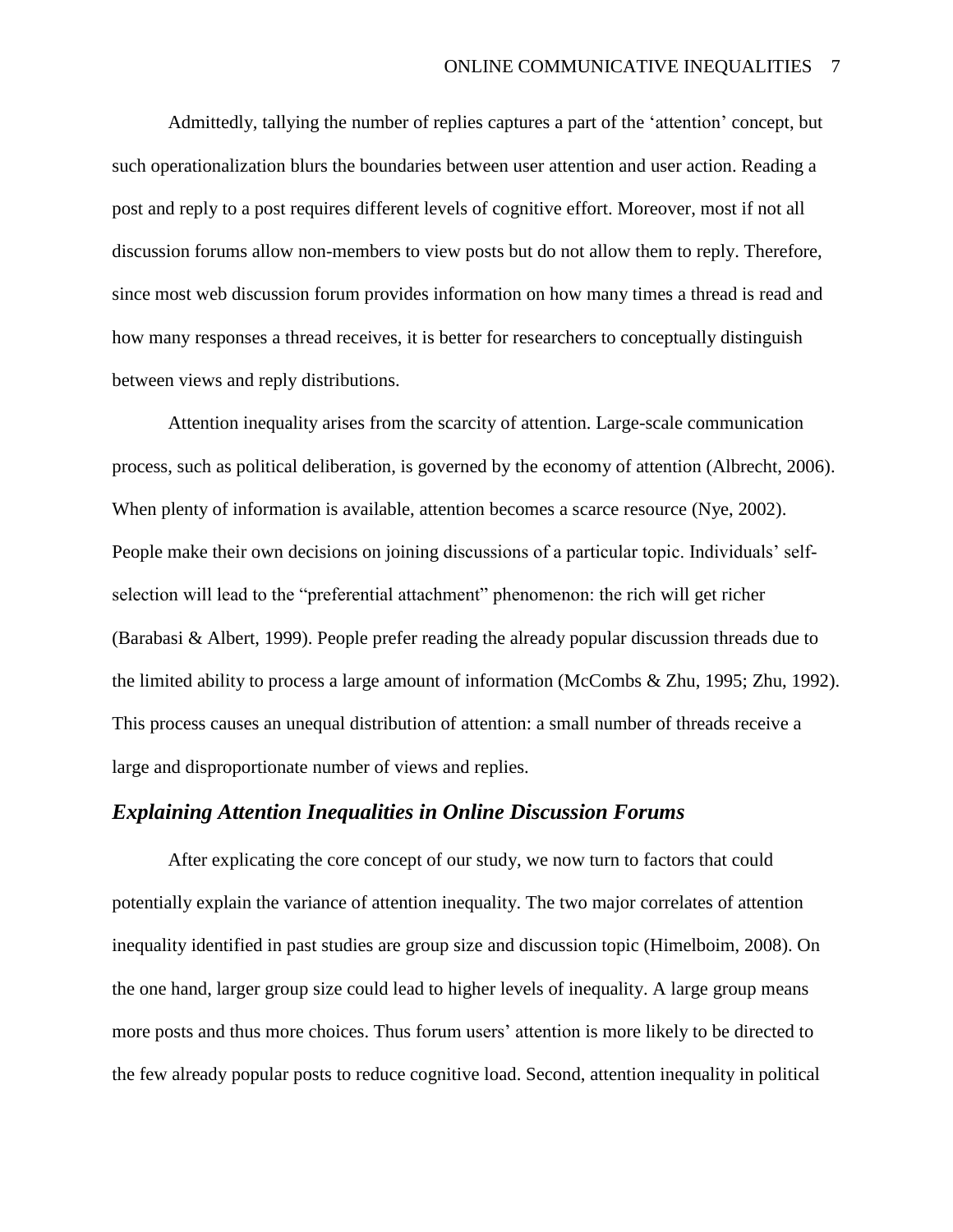Admittedly, tallying the number of replies captures a part of the 'attention' concept, but such operationalization blurs the boundaries between user attention and user action. Reading a post and reply to a post requires different levels of cognitive effort. Moreover, most if not all discussion forums allow non-members to view posts but do not allow them to reply. Therefore, since most web discussion forum provides information on how many times a thread is read and how many responses a thread receives, it is better for researchers to conceptually distinguish between views and reply distributions.

Attention inequality arises from the scarcity of attention. Large-scale communication process, such as political deliberation, is governed by the economy of attention (Albrecht, 2006). When plenty of information is available, attention becomes a scarce resource (Nye, 2002). People make their own decisions on joining discussions of a particular topic. Individuals' selfselection will lead to the "preferential attachment" phenomenon: the rich will get richer (Barabasi & Albert, 1999). People prefer reading the already popular discussion threads due to the limited ability to process a large amount of information (McCombs & Zhu, 1995; Zhu, 1992). This process causes an unequal distribution of attention: a small number of threads receive a large and disproportionate number of views and replies.

#### *Explaining Attention Inequalities in Online Discussion Forums*

After explicating the core concept of our study, we now turn to factors that could potentially explain the variance of attention inequality. The two major correlates of attention inequality identified in past studies are group size and discussion topic (Himelboim, 2008). On the one hand, larger group size could lead to higher levels of inequality. A large group means more posts and thus more choices. Thus forum users' attention is more likely to be directed to the few already popular posts to reduce cognitive load. Second, attention inequality in political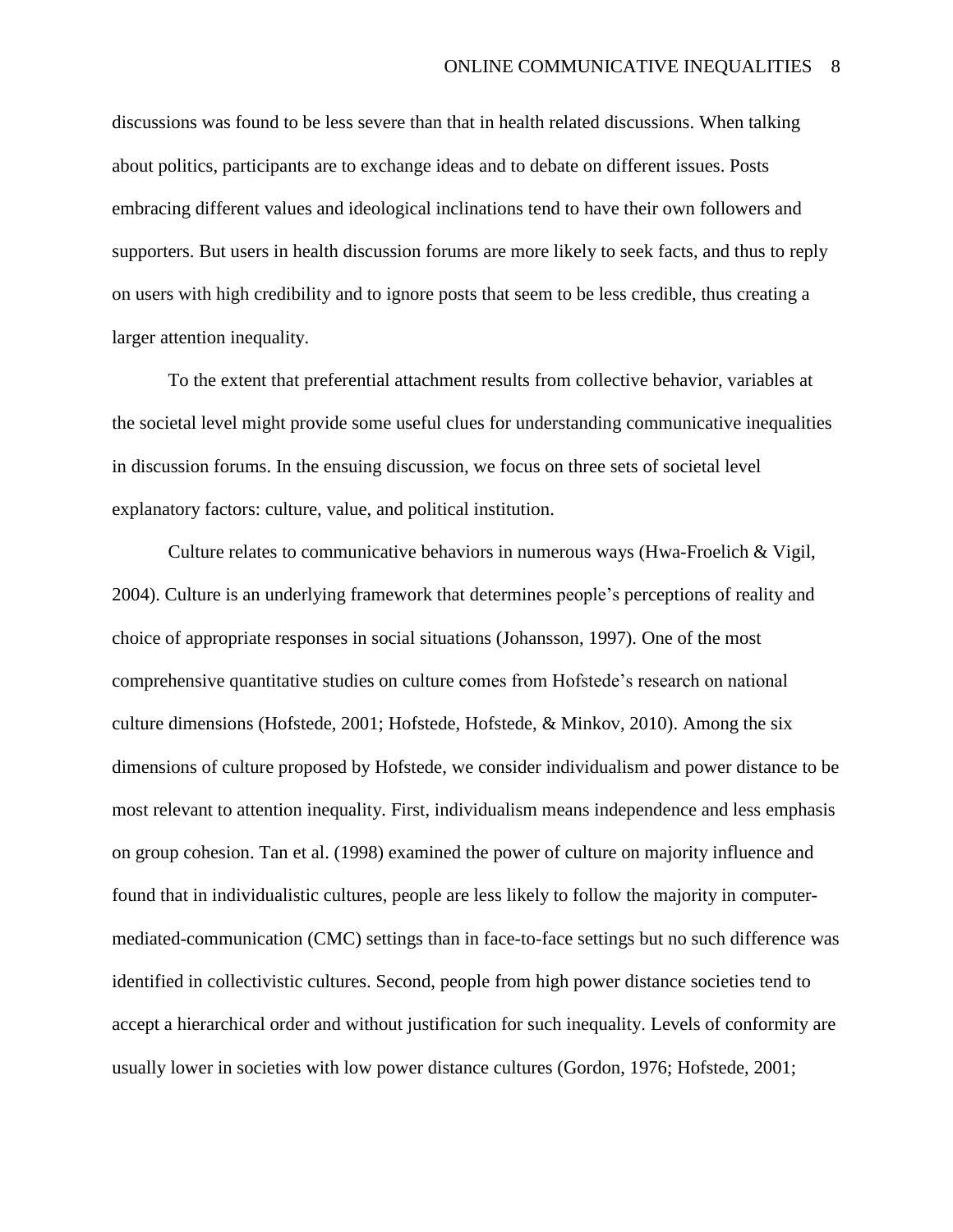discussions was found to be less severe than that in health related discussions. When talking about politics, participants are to exchange ideas and to debate on different issues. Posts embracing different values and ideological inclinations tend to have their own followers and supporters. But users in health discussion forums are more likely to seek facts, and thus to reply on users with high credibility and to ignore posts that seem to be less credible, thus creating a larger attention inequality.

To the extent that preferential attachment results from collective behavior, variables at the societal level might provide some useful clues for understanding communicative inequalities in discussion forums. In the ensuing discussion, we focus on three sets of societal level explanatory factors: culture, value, and political institution.

Culture relates to communicative behaviors in numerous ways (Hwa-Froelich & Vigil, 2004). Culture is an underlying framework that determines people's perceptions of reality and choice of appropriate responses in social situations (Johansson, 1997). One of the most comprehensive quantitative studies on culture comes from Hofstede's research on national culture dimensions (Hofstede, 2001; Hofstede, Hofstede, & Minkov, 2010). Among the six dimensions of culture proposed by Hofstede, we consider individualism and power distance to be most relevant to attention inequality. First, individualism means independence and less emphasis on group cohesion. Tan et al. (1998) examined the power of culture on majority influence and found that in individualistic cultures, people are less likely to follow the majority in computermediated-communication (CMC) settings than in face-to-face settings but no such difference was identified in collectivistic cultures. Second, people from high power distance societies tend to accept a hierarchical order and without justification for such inequality. Levels of conformity are usually lower in societies with low power distance cultures (Gordon, 1976; Hofstede, 2001;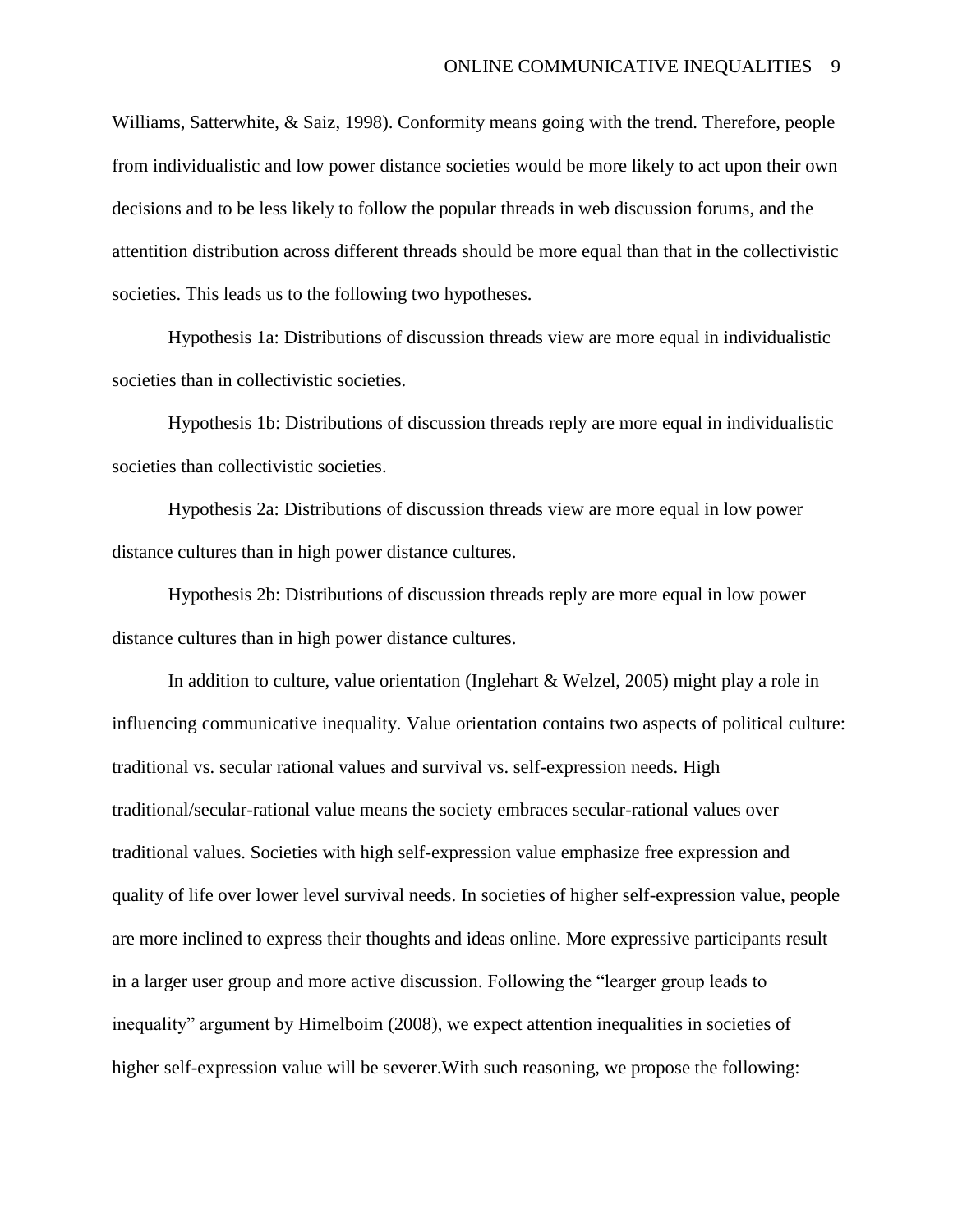Williams, Satterwhite, & Saiz, 1998). Conformity means going with the trend. Therefore, people from individualistic and low power distance societies would be more likely to act upon their own decisions and to be less likely to follow the popular threads in web discussion forums, and the attentition distribution across different threads should be more equal than that in the collectivistic societies. This leads us to the following two hypotheses.

Hypothesis 1a: Distributions of discussion threads view are more equal in individualistic societies than in collectivistic societies.

Hypothesis 1b: Distributions of discussion threads reply are more equal in individualistic societies than collectivistic societies.

Hypothesis 2a: Distributions of discussion threads view are more equal in low power distance cultures than in high power distance cultures.

Hypothesis 2b: Distributions of discussion threads reply are more equal in low power distance cultures than in high power distance cultures.

In addition to culture, value orientation (Inglehart & Welzel, 2005) might play a role in influencing communicative inequality. Value orientation contains two aspects of political culture: traditional vs. secular rational values and survival vs. self-expression needs. High traditional/secular-rational value means the society embraces secular-rational values over traditional values. Societies with high self-expression value emphasize free expression and quality of life over lower level survival needs. In societies of higher self-expression value, people are more inclined to express their thoughts and ideas online. More expressive participants result in a larger user group and more active discussion. Following the "learger group leads to inequality" argument by Himelboim (2008), we expect attention inequalities in societies of higher self-expression value will be severer.With such reasoning, we propose the following: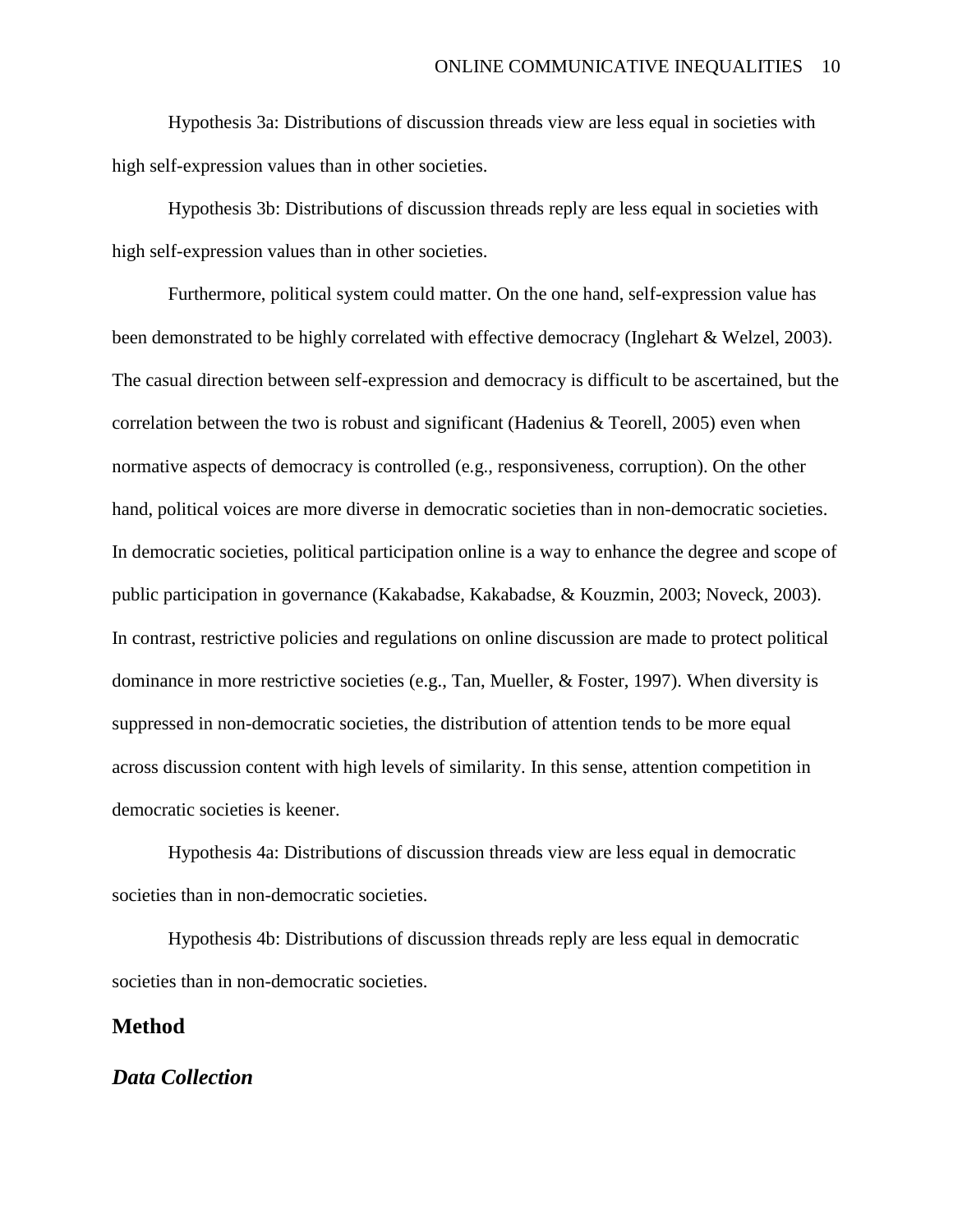Hypothesis 3a: Distributions of discussion threads view are less equal in societies with high self-expression values than in other societies.

Hypothesis 3b: Distributions of discussion threads reply are less equal in societies with high self-expression values than in other societies.

Furthermore, political system could matter. On the one hand, self-expression value has been demonstrated to be highly correlated with effective democracy (Inglehart & Welzel, 2003). The casual direction between self-expression and democracy is difficult to be ascertained, but the correlation between the two is robust and significant (Hadenius & Teorell, 2005) even when normative aspects of democracy is controlled (e.g., responsiveness, corruption). On the other hand, political voices are more diverse in democratic societies than in non-democratic societies. In democratic societies, political participation online is a way to enhance the degree and scope of public participation in governance (Kakabadse, Kakabadse, & Kouzmin, 2003; Noveck, 2003). In contrast, restrictive policies and regulations on online discussion are made to protect political dominance in more restrictive societies (e.g., Tan, Mueller, & Foster, 1997). When diversity is suppressed in non-democratic societies, the distribution of attention tends to be more equal across discussion content with high levels of similarity. In this sense, attention competition in democratic societies is keener.

Hypothesis 4a: Distributions of discussion threads view are less equal in democratic societies than in non-democratic societies.

Hypothesis 4b: Distributions of discussion threads reply are less equal in democratic societies than in non-democratic societies.

### **Method**

## *Data Collection*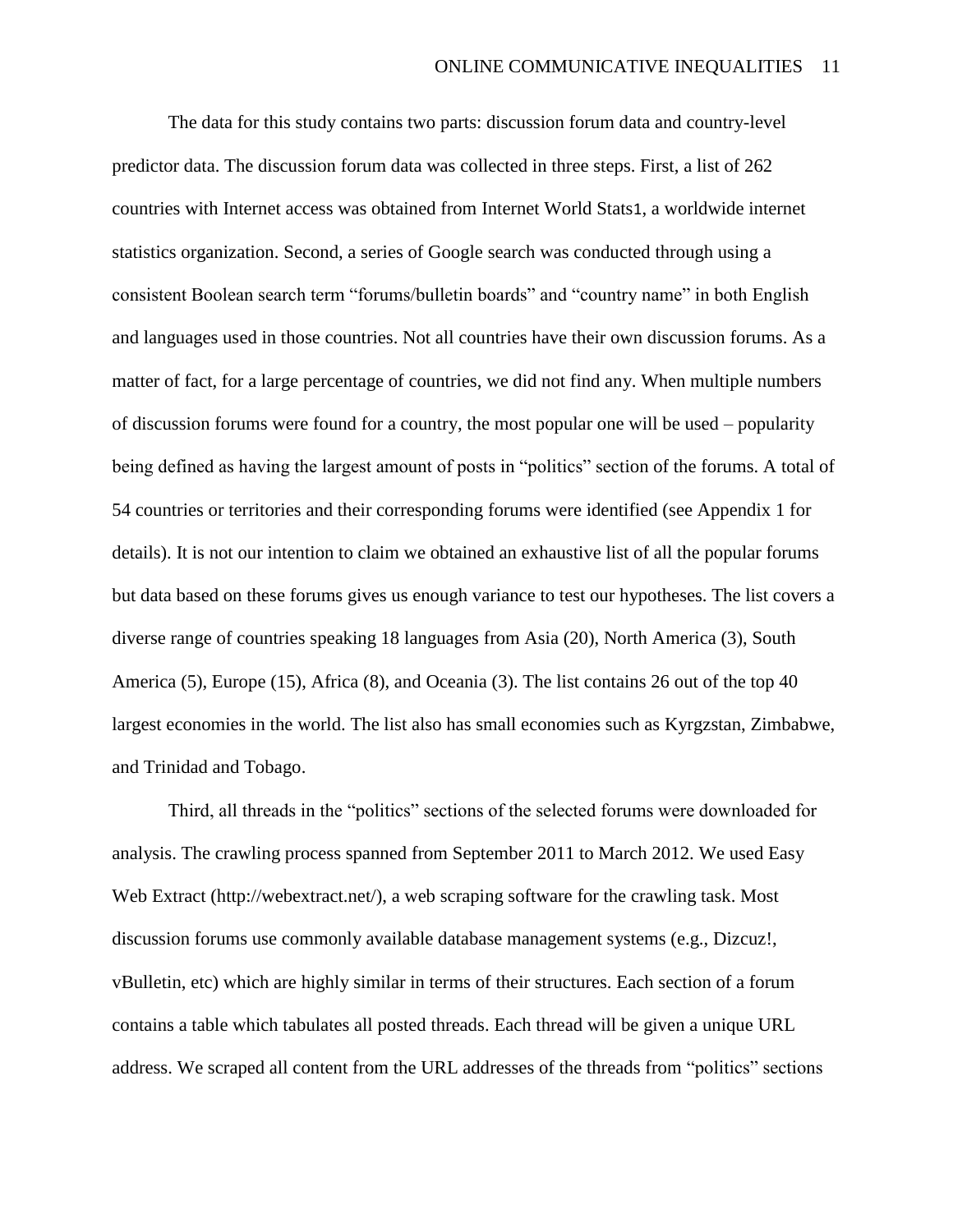The data for this study contains two parts: discussion forum data and country-level predictor data. The discussion forum data was collected in three steps. First, a list of 262 countries with Internet access was obtained from Internet World Stats1, a worldwide internet statistics organization. Second, a series of Google search was conducted through using a consistent Boolean search term "forums/bulletin boards" and "country name" in both English and languages used in those countries. Not all countries have their own discussion forums. As a matter of fact, for a large percentage of countries, we did not find any. When multiple numbers of discussion forums were found for a country, the most popular one will be used – popularity being defined as having the largest amount of posts in "politics" section of the forums. A total of 54 countries or territories and their corresponding forums were identified (see Appendix 1 for details). It is not our intention to claim we obtained an exhaustive list of all the popular forums but data based on these forums gives us enough variance to test our hypotheses. The list covers a diverse range of countries speaking 18 languages from Asia (20), North America (3), South America (5), Europe (15), Africa (8), and Oceania (3). The list contains 26 out of the top 40 largest economies in the world. The list also has small economies such as Kyrgzstan, Zimbabwe, and Trinidad and Tobago.

Third, all threads in the "politics" sections of the selected forums were downloaded for analysis. The crawling process spanned from September 2011 to March 2012. We used Easy Web Extract [\(http://webextract.net/\)](http://webextract.net/), a web scraping software for the crawling task. Most discussion forums use commonly available database management systems (e.g., Dizcuz!, vBulletin, etc) which are highly similar in terms of their structures. Each section of a forum contains a table which tabulates all posted threads. Each thread will be given a unique URL address. We scraped all content from the URL addresses of the threads from "politics" sections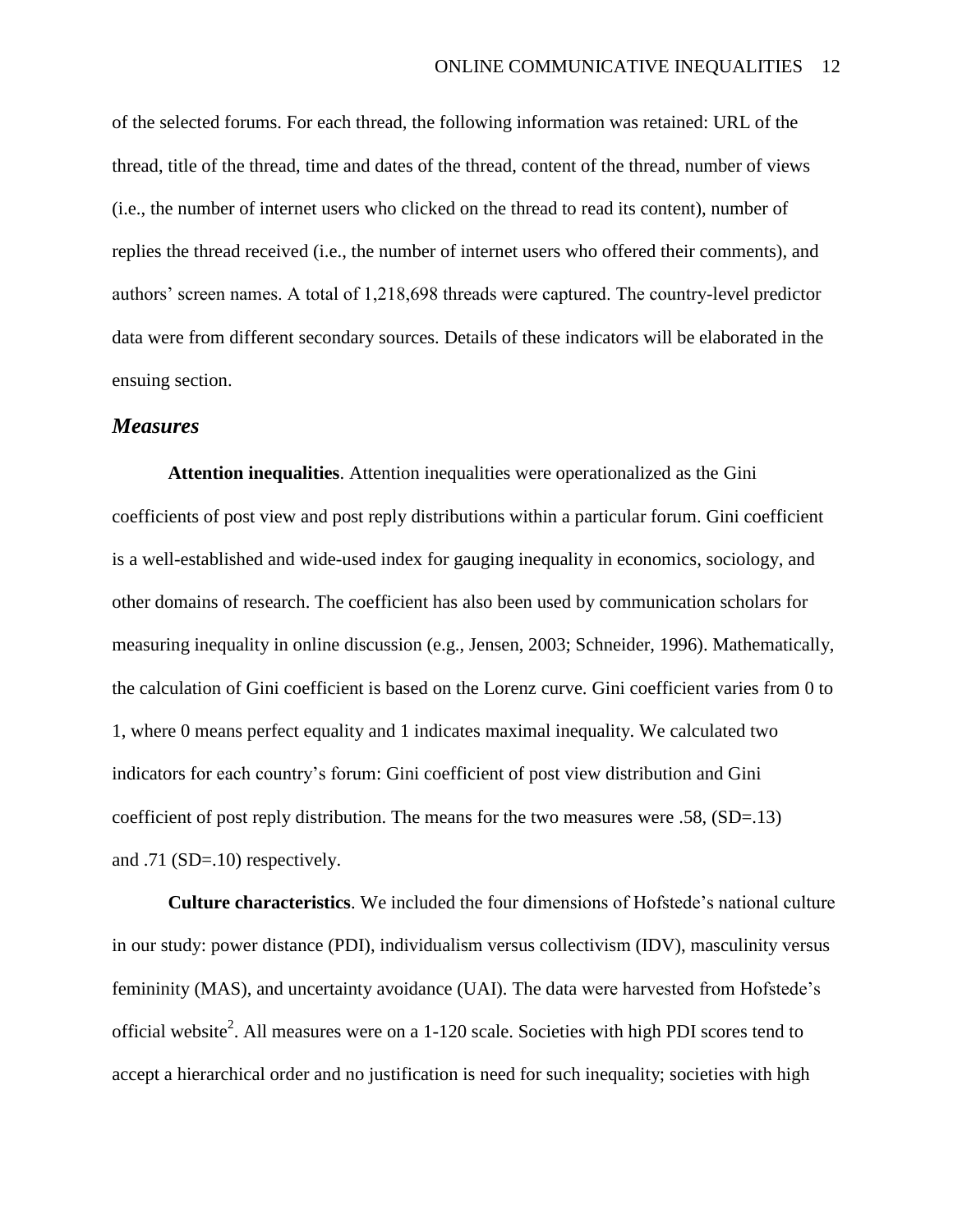of the selected forums. For each thread, the following information was retained: URL of the thread, title of the thread, time and dates of the thread, content of the thread, number of views (i.e., the number of internet users who clicked on the thread to read its content), number of replies the thread received (i.e., the number of internet users who offered their comments), and authors' screen names. A total of 1,218,698 threads were captured. The country-level predictor data were from different secondary sources. Details of these indicators will be elaborated in the ensuing section.

#### *Measures*

**Attention inequalities**. Attention inequalities were operationalized as the Gini coefficients of post view and post reply distributions within a particular forum. Gini coefficient is a well-established and wide-used index for gauging inequality in economics, sociology, and other domains of research. The coefficient has also been used by communication scholars for measuring inequality in online discussion (e.g., Jensen, 2003; Schneider, 1996). Mathematically, the calculation of Gini coefficient is based on the Lorenz curve. Gini coefficient varies from 0 to 1, where 0 means perfect equality and 1 indicates maximal inequality. We calculated two indicators for each country's forum: Gini coefficient of post view distribution and Gini coefficient of post reply distribution. The means for the two measures were .58, (SD=.13) and .71 (SD=.10) respectively.

**Culture characteristics**. We included the four dimensions of Hofstede's national culture in our study: power distance (PDI), individualism versus collectivism (IDV), masculinity versus femininity (MAS), and uncertainty avoidance (UAI). The data were harvested from Hofstede's official website<sup>2</sup>. All measures were on a 1-120 scale. Societies with high PDI scores tend to accept a hierarchical order and no justification is need for such inequality; societies with high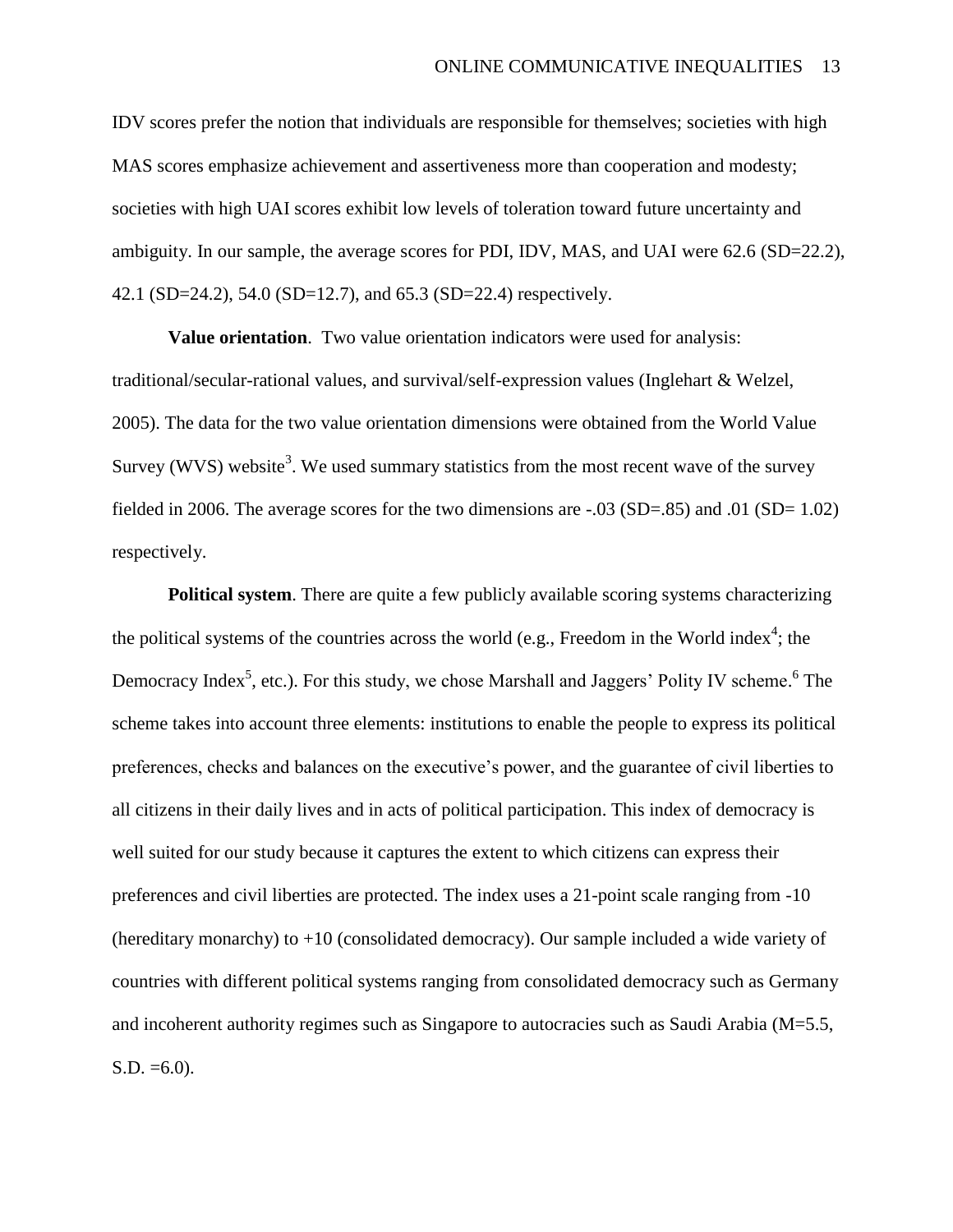IDV scores prefer the notion that individuals are responsible for themselves; societies with high MAS scores emphasize achievement and assertiveness more than cooperation and modesty; societies with high UAI scores exhibit low levels of toleration toward future uncertainty and ambiguity. In our sample, the average scores for PDI, IDV, MAS, and UAI were 62.6 (SD=22.2), 42.1 (SD=24.2), 54.0 (SD=12.7), and 65.3 (SD=22.4) respectively.

**Value orientation**. Two value orientation indicators were used for analysis: traditional/secular-rational values, and survival/self-expression values (Inglehart & Welzel, 2005). The data for the two value orientation dimensions were obtained from the World Value Survey (WVS) website<sup>3</sup>. We used summary statistics from the most recent wave of the survey fielded in 2006. The average scores for the two dimensions are -.03 (SD=.85) and .01 (SD= 1.02) respectively.

**Political system**. There are quite a few publicly available scoring systems characterizing the political systems of the countries across the world (e.g., Freedom in the World index<sup>4</sup>; the Democracy Index<sup>5</sup>, etc.). For this study, we chose Marshall and Jaggers' Polity IV scheme.<sup>6</sup> The scheme takes into account three elements: institutions to enable the people to express its political preferences, checks and balances on the executive's power, and the guarantee of civil liberties to all citizens in their daily lives and in acts of political participation. This index of democracy is well suited for our study because it captures the extent to which citizens can express their preferences and civil liberties are protected. The index uses a 21-point scale ranging from -10 (hereditary monarchy) to +10 (consolidated democracy). Our sample included a wide variety of countries with different political systems ranging from consolidated democracy such as Germany and incoherent authority regimes such as Singapore to autocracies such as Saudi Arabia (M=5.5,  $S.D. = 6.0$ ).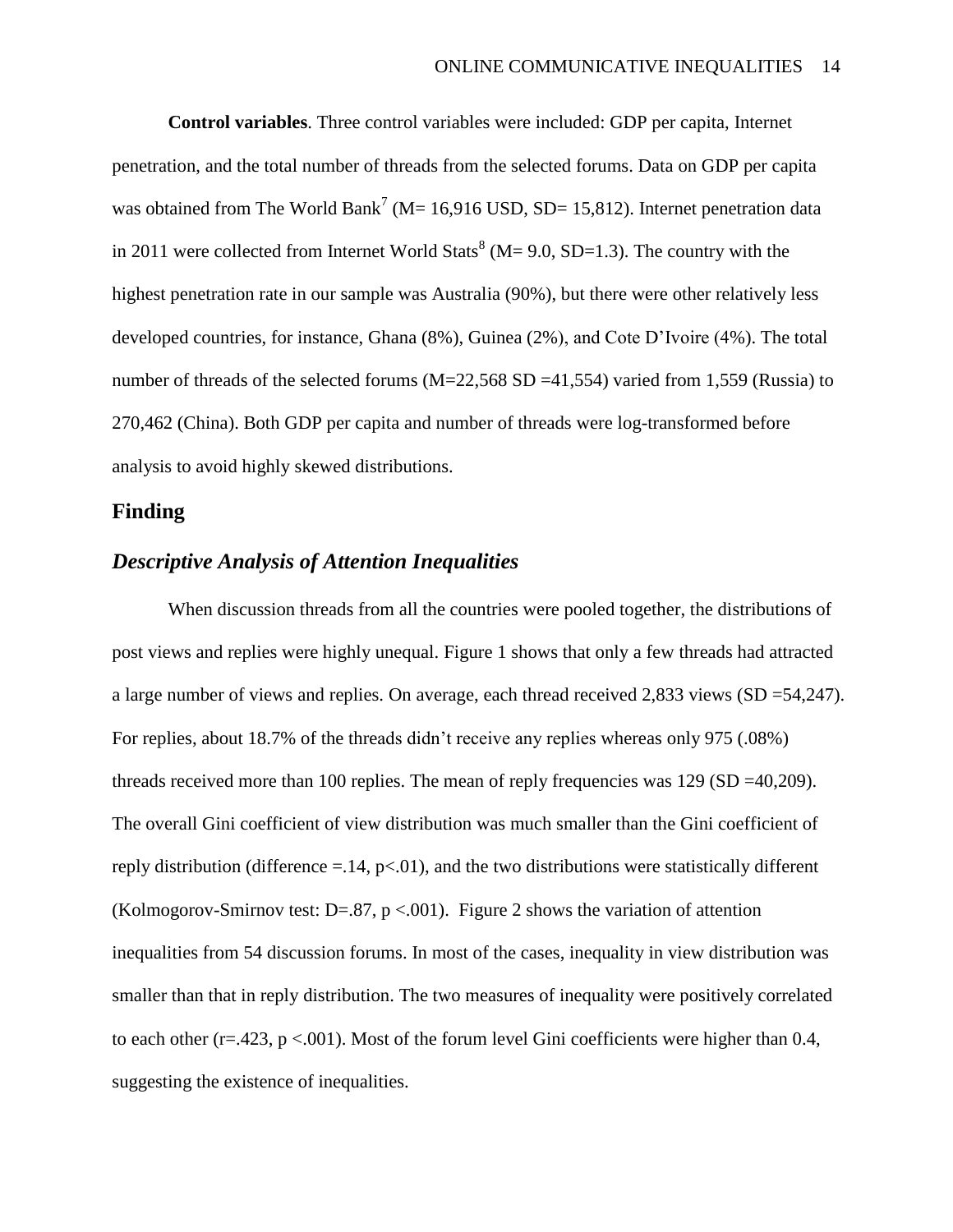**Control variables**. Three control variables were included: GDP per capita, Internet penetration, and the total number of threads from the selected forums. Data on GDP per capita was obtained from The World Bank<sup>7</sup> (M= 16,916 USD, SD= 15,812). Internet penetration data in 2011 were collected from Internet World Stats<sup>8</sup> (M= 9.0, SD=1.3). The country with the highest penetration rate in our sample was Australia (90%), but there were other relatively less developed countries, for instance, Ghana (8%), Guinea (2%), and Cote D'Ivoire (4%). The total number of threads of the selected forums (M=22,568 SD =41,554) varied from 1,559 (Russia) to 270,462 (China). Both GDP per capita and number of threads were log-transformed before analysis to avoid highly skewed distributions.

#### **Finding**

## *Descriptive Analysis of Attention Inequalities*

When discussion threads from all the countries were pooled together, the distributions of post views and replies were highly unequal. Figure 1 shows that only a few threads had attracted a large number of views and replies. On average, each thread received 2,833 views (SD =54,247). For replies, about 18.7% of the threads didn't receive any replies whereas only 975 (.08%) threads received more than 100 replies. The mean of reply frequencies was 129 (SD =40,209). The overall Gini coefficient of view distribution was much smaller than the Gini coefficient of reply distribution (difference  $=$  14, p $<$  0.01), and the two distributions were statistically different (Kolmogorov-Smirnov test: D=.87,  $p < .001$ ). Figure 2 shows the variation of attention inequalities from 54 discussion forums. In most of the cases, inequality in view distribution was smaller than that in reply distribution. The two measures of inequality were positively correlated to each other ( $r = .423$ ,  $p < .001$ ). Most of the forum level Gini coefficients were higher than 0.4, suggesting the existence of inequalities.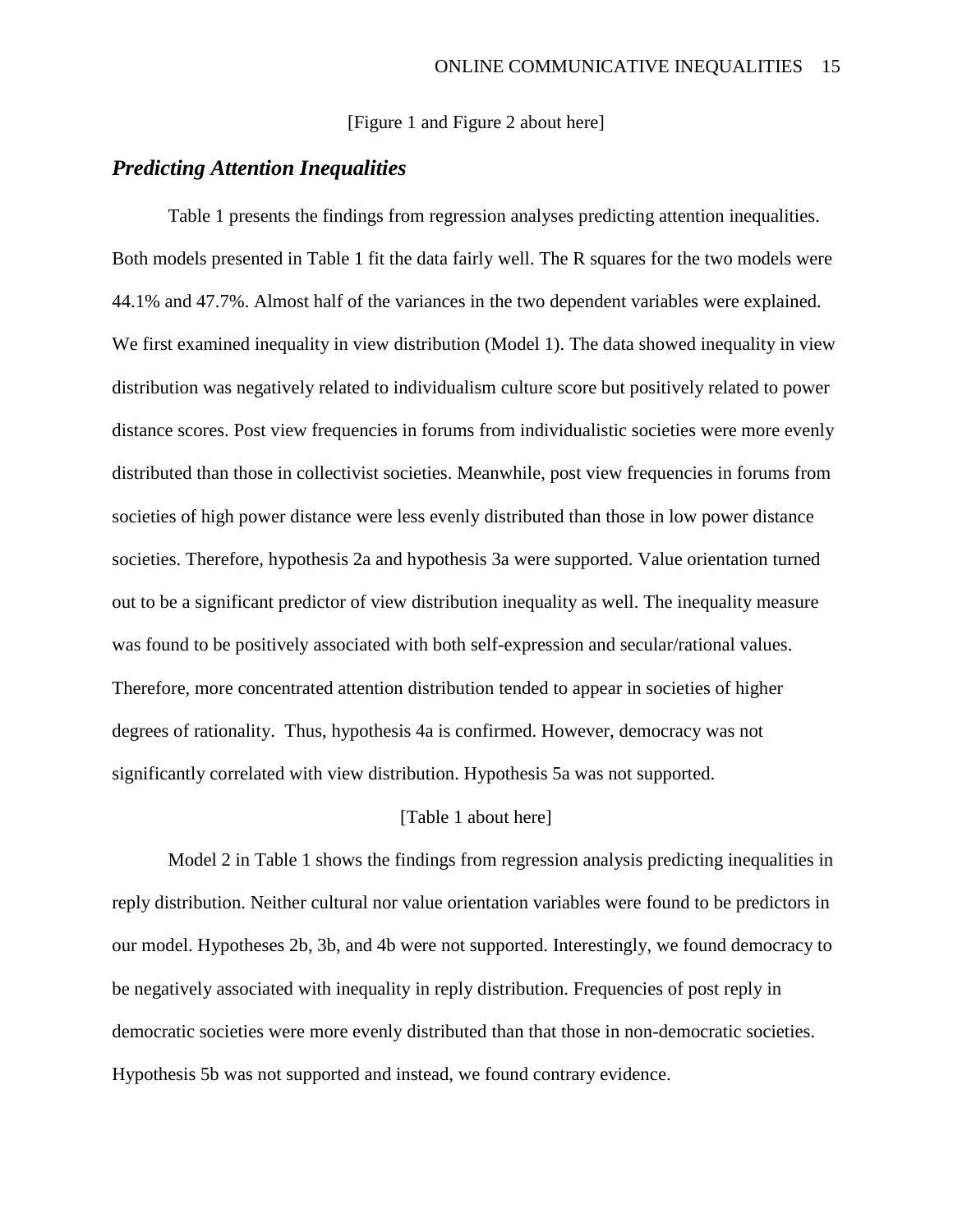[Figure 1 and Figure 2 about here]

## *Predicting Attention Inequalities*

Table 1 presents the findings from regression analyses predicting attention inequalities. Both models presented in Table 1 fit the data fairly well. The R squares for the two models were 44.1% and 47.7%. Almost half of the variances in the two dependent variables were explained. We first examined inequality in view distribution (Model 1). The data showed inequality in view distribution was negatively related to individualism culture score but positively related to power distance scores. Post view frequencies in forums from individualistic societies were more evenly distributed than those in collectivist societies. Meanwhile, post view frequencies in forums from societies of high power distance were less evenly distributed than those in low power distance societies. Therefore, hypothesis 2a and hypothesis 3a were supported. Value orientation turned out to be a significant predictor of view distribution inequality as well. The inequality measure was found to be positively associated with both self-expression and secular/rational values. Therefore, more concentrated attention distribution tended to appear in societies of higher degrees of rationality. Thus, hypothesis 4a is confirmed. However, democracy was not significantly correlated with view distribution. Hypothesis 5a was not supported.

#### [Table 1 about here]

Model 2 in Table 1 shows the findings from regression analysis predicting inequalities in reply distribution. Neither cultural nor value orientation variables were found to be predictors in our model. Hypotheses 2b, 3b, and 4b were not supported. Interestingly, we found democracy to be negatively associated with inequality in reply distribution. Frequencies of post reply in democratic societies were more evenly distributed than that those in non-democratic societies. Hypothesis 5b was not supported and instead, we found contrary evidence.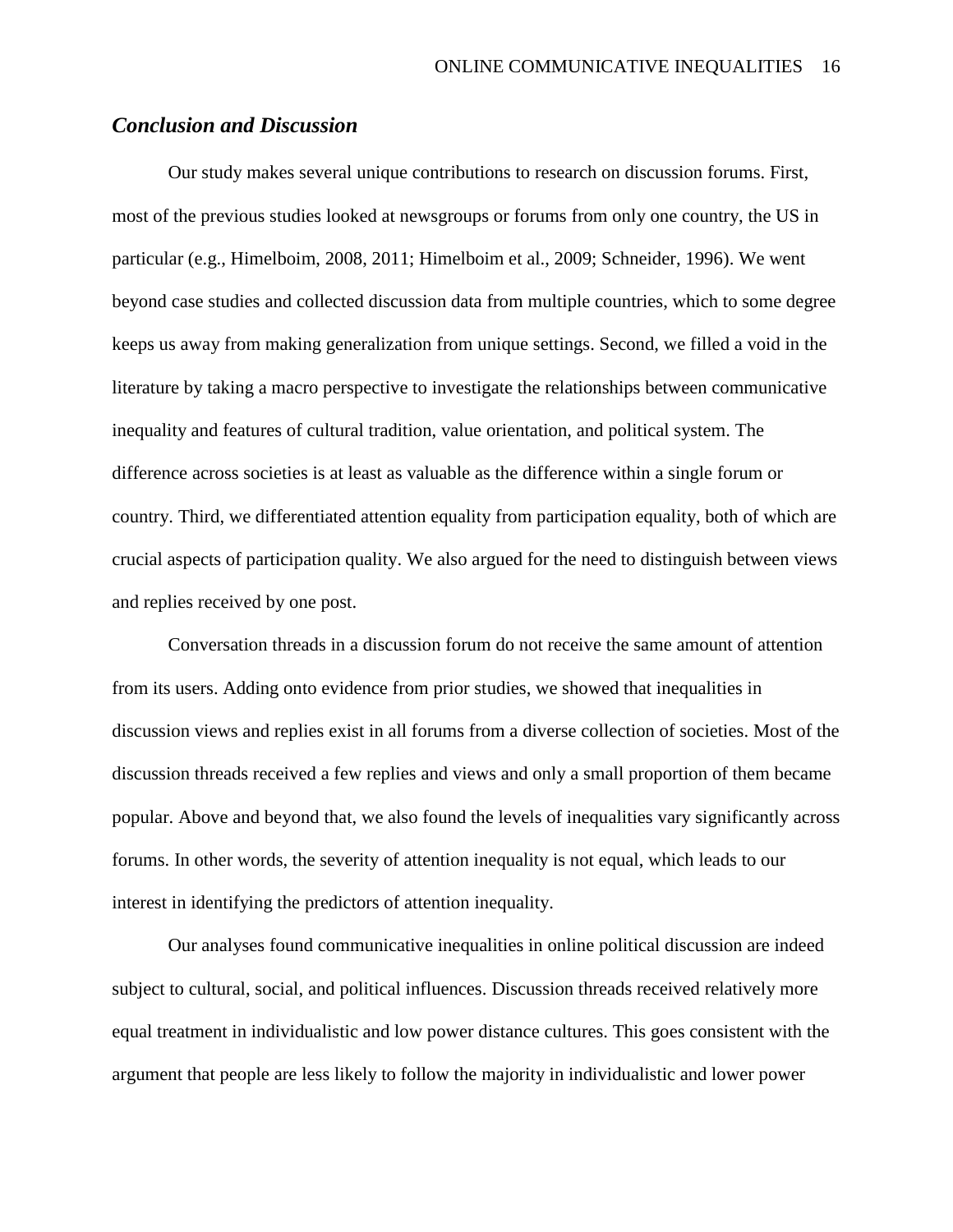## *Conclusion and Discussion*

Our study makes several unique contributions to research on discussion forums. First, most of the previous studies looked at newsgroups or forums from only one country, the US in particular (e.g., Himelboim, 2008, 2011; Himelboim et al., 2009; Schneider, 1996). We went beyond case studies and collected discussion data from multiple countries, which to some degree keeps us away from making generalization from unique settings. Second, we filled a void in the literature by taking a macro perspective to investigate the relationships between communicative inequality and features of cultural tradition, value orientation, and political system. The difference across societies is at least as valuable as the difference within a single forum or country. Third, we differentiated attention equality from participation equality, both of which are crucial aspects of participation quality. We also argued for the need to distinguish between views and replies received by one post.

Conversation threads in a discussion forum do not receive the same amount of attention from its users. Adding onto evidence from prior studies, we showed that inequalities in discussion views and replies exist in all forums from a diverse collection of societies. Most of the discussion threads received a few replies and views and only a small proportion of them became popular. Above and beyond that, we also found the levels of inequalities vary significantly across forums. In other words, the severity of attention inequality is not equal, which leads to our interest in identifying the predictors of attention inequality.

Our analyses found communicative inequalities in online political discussion are indeed subject to cultural, social, and political influences. Discussion threads received relatively more equal treatment in individualistic and low power distance cultures. This goes consistent with the argument that people are less likely to follow the majority in individualistic and lower power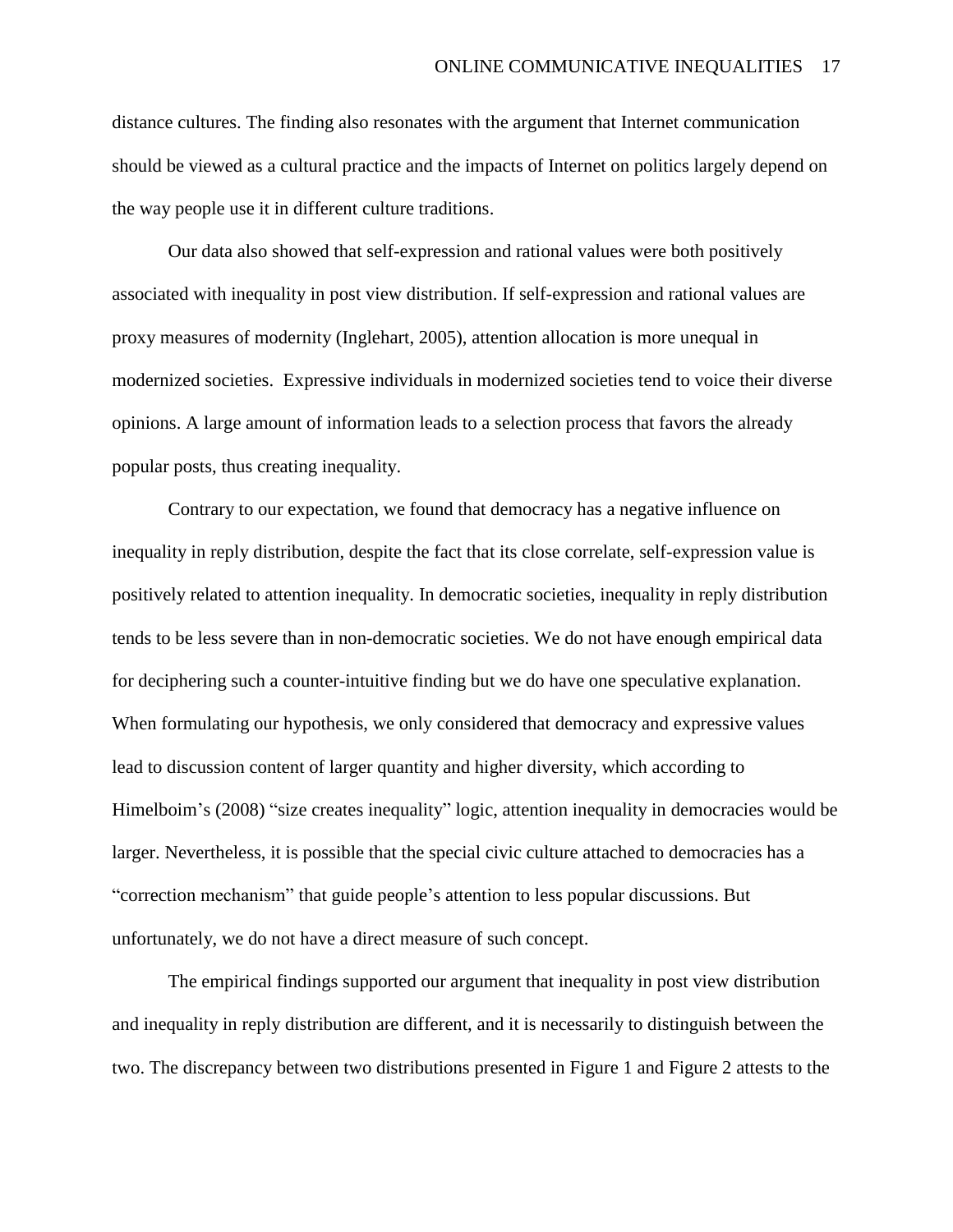distance cultures. The finding also resonates with the argument that Internet communication should be viewed as a cultural practice and the impacts of Internet on politics largely depend on the way people use it in different culture traditions.

Our data also showed that self-expression and rational values were both positively associated with inequality in post view distribution. If self-expression and rational values are proxy measures of modernity (Inglehart, 2005), attention allocation is more unequal in modernized societies. Expressive individuals in modernized societies tend to voice their diverse opinions. A large amount of information leads to a selection process that favors the already popular posts, thus creating inequality.

Contrary to our expectation, we found that democracy has a negative influence on inequality in reply distribution, despite the fact that its close correlate, self-expression value is positively related to attention inequality. In democratic societies, inequality in reply distribution tends to be less severe than in non-democratic societies. We do not have enough empirical data for deciphering such a counter-intuitive finding but we do have one speculative explanation. When formulating our hypothesis, we only considered that democracy and expressive values lead to discussion content of larger quantity and higher diversity, which according to Himelboim's (2008) "size creates inequality" logic, attention inequality in democracies would be larger. Nevertheless, it is possible that the special civic culture attached to democracies has a "correction mechanism" that guide people's attention to less popular discussions. But unfortunately, we do not have a direct measure of such concept.

The empirical findings supported our argument that inequality in post view distribution and inequality in reply distribution are different, and it is necessarily to distinguish between the two. The discrepancy between two distributions presented in Figure 1 and Figure 2 attests to the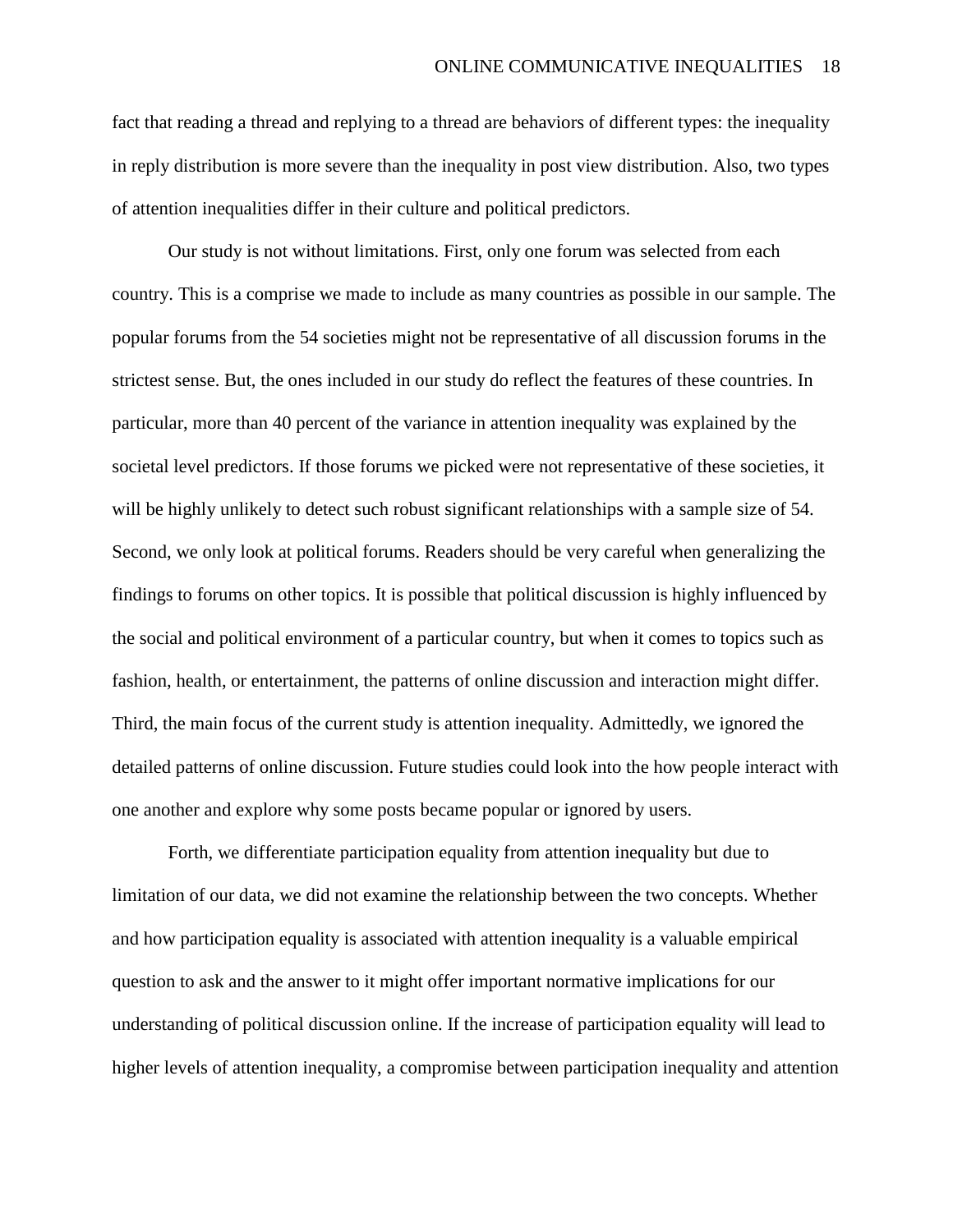fact that reading a thread and replying to a thread are behaviors of different types: the inequality in reply distribution is more severe than the inequality in post view distribution. Also, two types of attention inequalities differ in their culture and political predictors.

Our study is not without limitations. First, only one forum was selected from each country. This is a comprise we made to include as many countries as possible in our sample. The popular forums from the 54 societies might not be representative of all discussion forums in the strictest sense. But, the ones included in our study do reflect the features of these countries. In particular, more than 40 percent of the variance in attention inequality was explained by the societal level predictors. If those forums we picked were not representative of these societies, it will be highly unlikely to detect such robust significant relationships with a sample size of 54. Second, we only look at political forums. Readers should be very careful when generalizing the findings to forums on other topics. It is possible that political discussion is highly influenced by the social and political environment of a particular country, but when it comes to topics such as fashion, health, or entertainment, the patterns of online discussion and interaction might differ. Third, the main focus of the current study is attention inequality. Admittedly, we ignored the detailed patterns of online discussion. Future studies could look into the how people interact with one another and explore why some posts became popular or ignored by users.

Forth, we differentiate participation equality from attention inequality but due to limitation of our data, we did not examine the relationship between the two concepts. Whether and how participation equality is associated with attention inequality is a valuable empirical question to ask and the answer to it might offer important normative implications for our understanding of political discussion online. If the increase of participation equality will lead to higher levels of attention inequality, a compromise between participation inequality and attention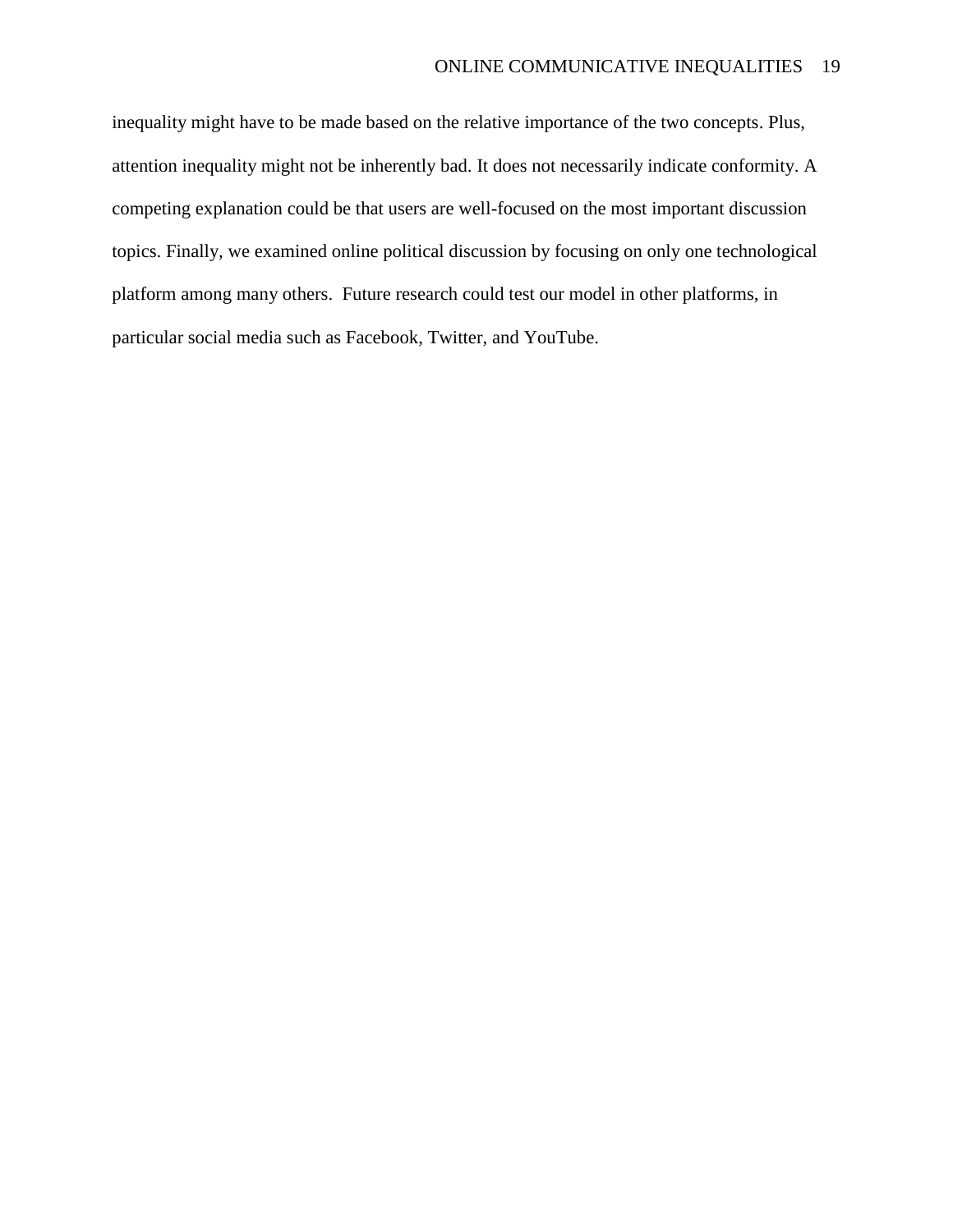inequality might have to be made based on the relative importance of the two concepts. Plus, attention inequality might not be inherently bad. It does not necessarily indicate conformity. A competing explanation could be that users are well-focused on the most important discussion topics. Finally, we examined online political discussion by focusing on only one technological platform among many others. Future research could test our model in other platforms, in particular social media such as Facebook, Twitter, and YouTube.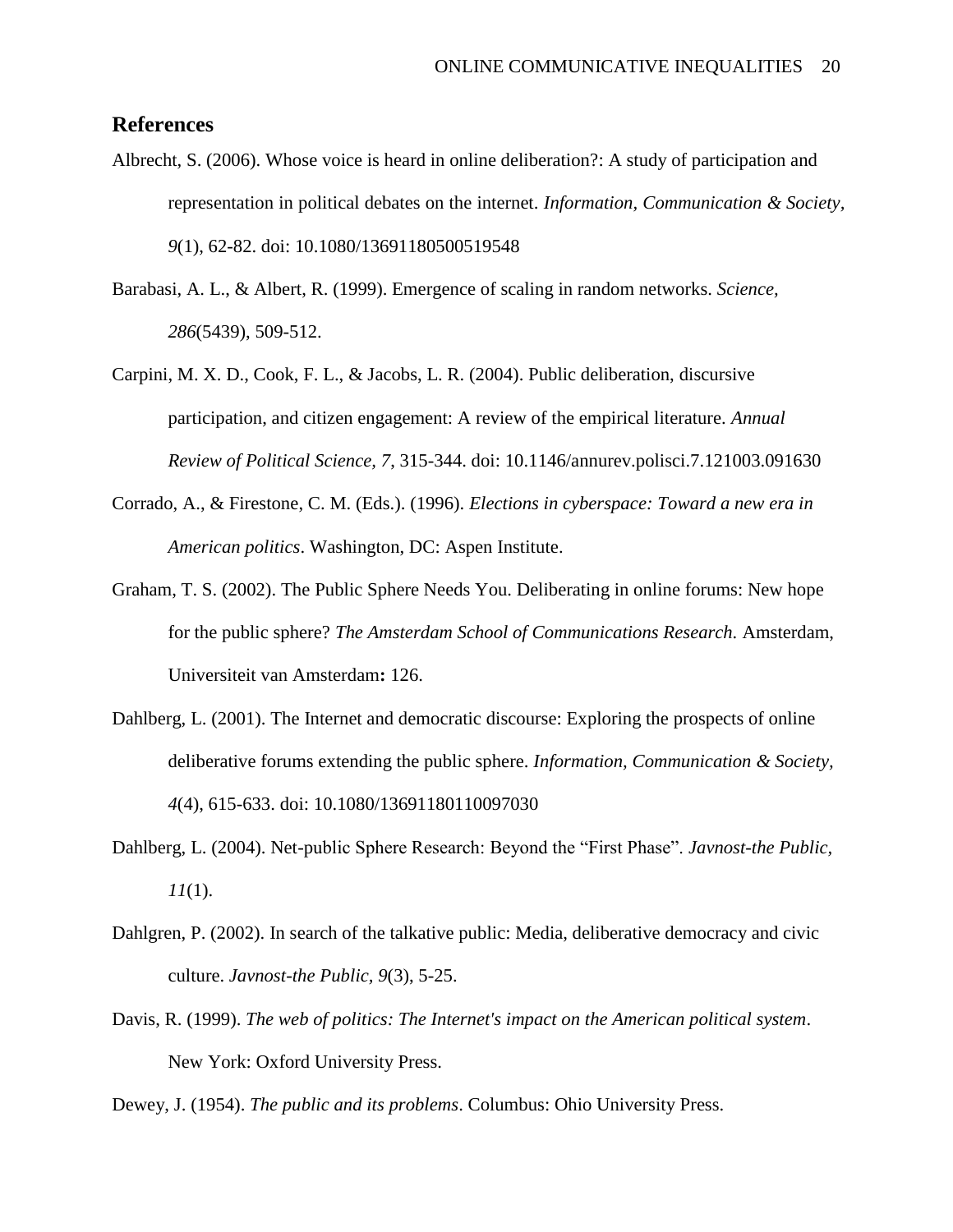## **References**

- Albrecht, S. (2006). Whose voice is heard in online deliberation?: A study of participation and representation in political debates on the internet. *Information, Communication & Society, 9*(1), 62-82. doi: 10.1080/13691180500519548
- Barabasi, A. L., & Albert, R. (1999). Emergence of scaling in random networks. *Science, 286*(5439), 509-512.
- Carpini, M. X. D., Cook, F. L., & Jacobs, L. R. (2004). Public deliberation, discursive participation, and citizen engagement: A review of the empirical literature. *Annual Review of Political Science, 7*, 315-344. doi: 10.1146/annurev.polisci.7.121003.091630
- Corrado, A., & Firestone, C. M. (Eds.). (1996). *Elections in cyberspace: Toward a new era in American politics*. Washington, DC: Aspen Institute.
- Graham, T. S. (2002). The Public Sphere Needs You. Deliberating in online forums: New hope for the public sphere? *The Amsterdam School of Communications Research.* Amsterdam, Universiteit van Amsterdam**:** 126.
- Dahlberg, L. (2001). The Internet and democratic discourse: Exploring the prospects of online deliberative forums extending the public sphere. *Information, Communication & Society, 4*(4), 615-633. [doi: 10.1080/13691180110097030](http://dx.doi.org/10.1080%2F13691180110097030)
- Dahlberg, L. (2004). Net-public Sphere Research: Beyond the "First Phase". *Javnost-the Public, 11*(1).
- Dahlgren, P. (2002). In search of the talkative public: Media, deliberative democracy and civic culture. *Javnost-the Public, 9*(3), 5-25.
- Davis, R. (1999). *The web of politics: The Internet's impact on the American political system*. New York: Oxford University Press.

Dewey, J. (1954). *The public and its problems*. Columbus: Ohio University Press.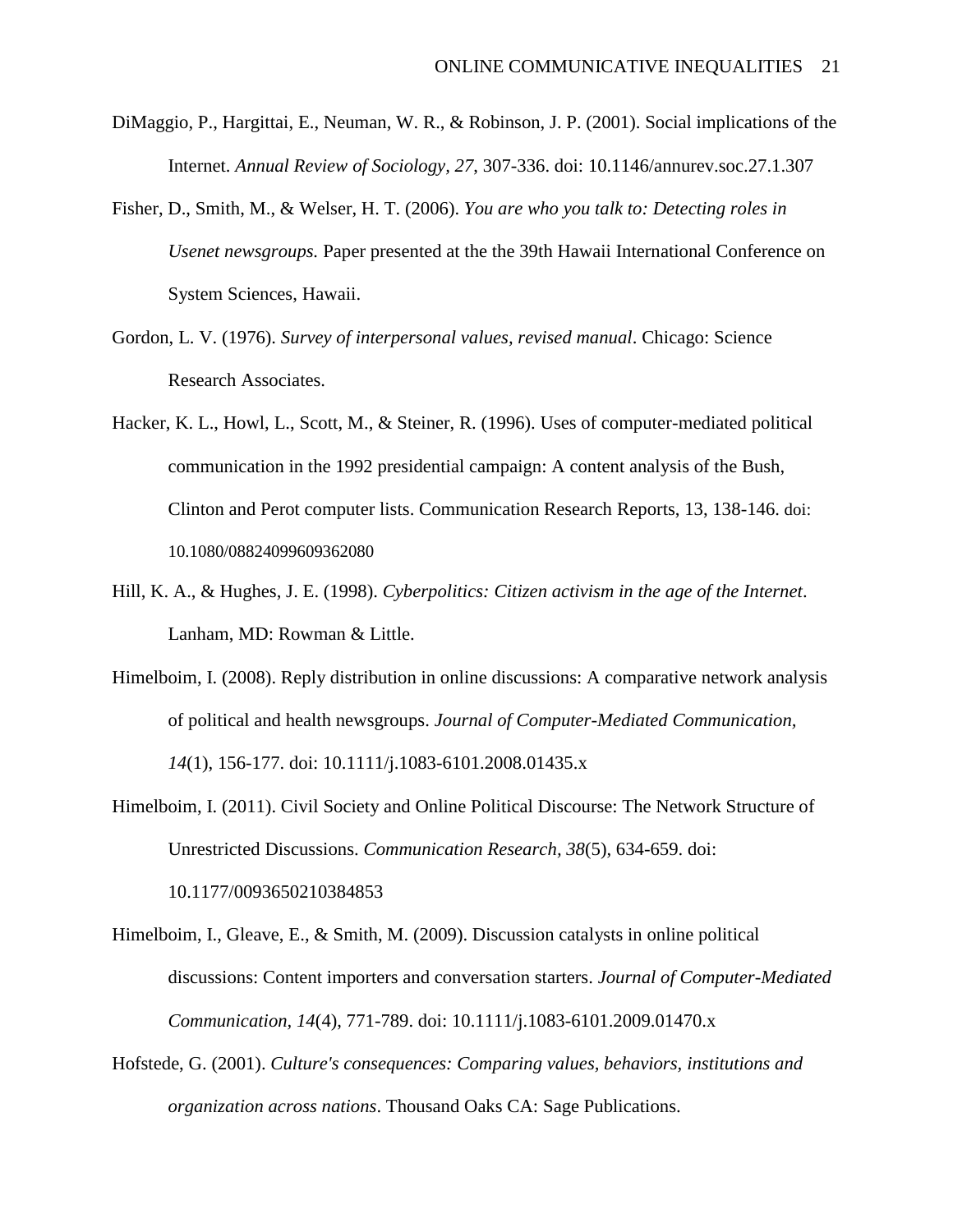- DiMaggio, P., Hargittai, E., Neuman, W. R., & Robinson, J. P. (2001). Social implications of the Internet. *Annual Review of Sociology, 27*, 307-336. [doi: 10.1146/annurev.soc.27.1.307](http://dx.doi.org/10.1146%2Fannurev.soc.27.1.307)
- Fisher, D., Smith, M., & Welser, H. T. (2006). *You are who you talk to: Detecting roles in Usenet newsgroups.* Paper presented at the the 39th Hawaii International Conference on System Sciences, Hawaii.
- Gordon, L. V. (1976). *Survey of interpersonal values, revised manual*. Chicago: Science Research Associates.
- Hacker, K. L., Howl, L., Scott, M., & Steiner, R. (1996). Uses of computer-mediated political communication in the 1992 presidential campaign: A content analysis of the Bush, Clinton and Perot computer lists. Communication Research Reports, 13, 138-146. [doi:](http://dx.doi.org/10.1080%2F08824099609362080) [10.1080/08824099609362080](http://dx.doi.org/10.1080%2F08824099609362080)
- Hill, K. A., & Hughes, J. E. (1998). *Cyberpolitics: Citizen activism in the age of the Internet*. Lanham, MD: Rowman & Little.
- Himelboim, I. (2008). Reply distribution in online discussions: A comparative network analysis of political and health newsgroups. *Journal of Computer-Mediated Communication, 14*(1), 156-177. doi: 10.1111/j.1083-6101.2008.01435.x
- Himelboim, I. (2011). Civil Society and Online Political Discourse: The Network Structure of Unrestricted Discussions. *Communication Research, 38*(5), 634-659. doi: 10.1177/0093650210384853
- Himelboim, I., Gleave, E., & Smith, M. (2009). Discussion catalysts in online political discussions: Content importers and conversation starters. *Journal of Computer-Mediated Communication, 14*(4), 771-789. doi: 10.1111/j.1083-6101.2009.01470.x
- Hofstede, G. (2001). *Culture's consequences: Comparing values, behaviors, institutions and organization across nations*. Thousand Oaks CA: Sage Publications.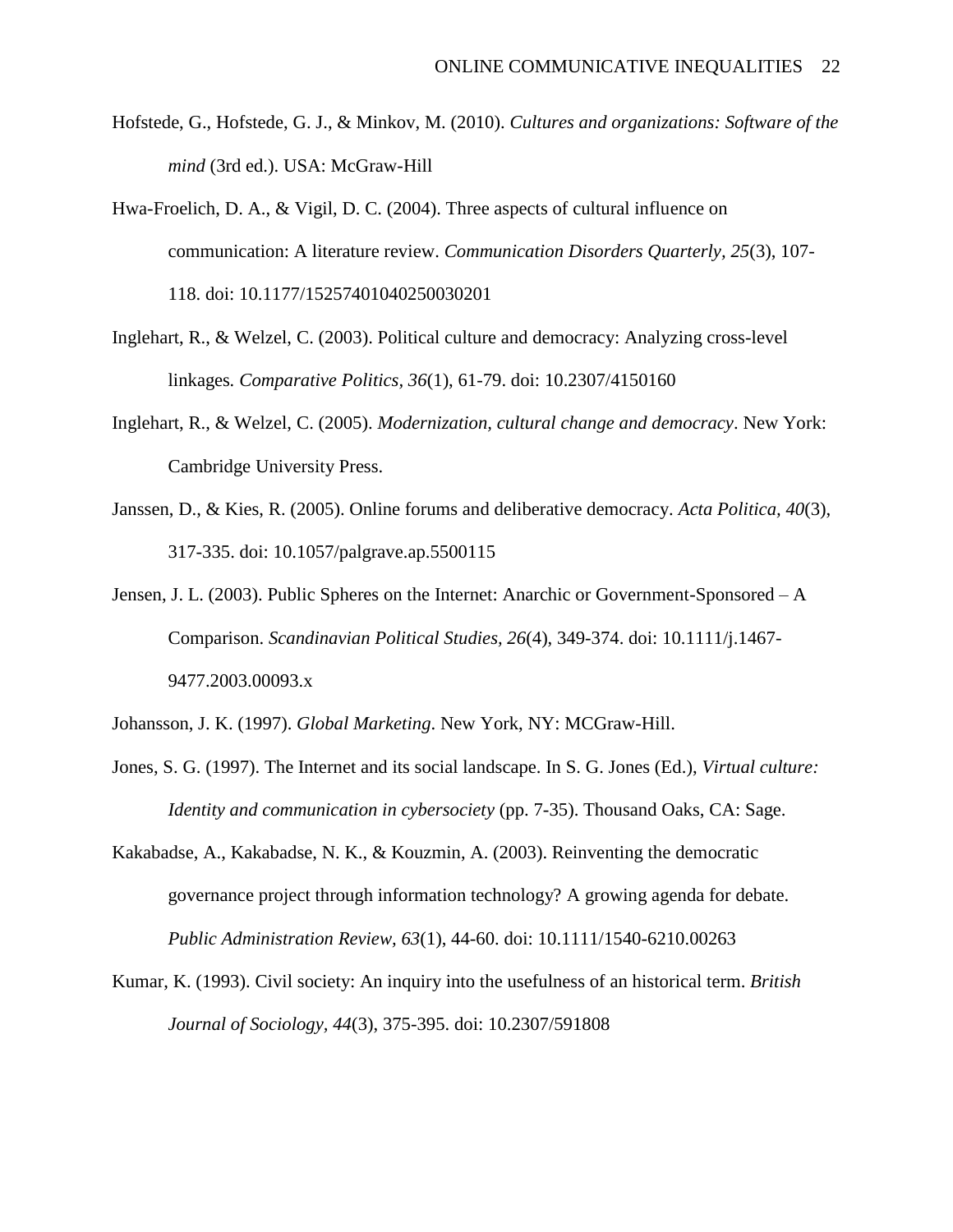- Hofstede, G., Hofstede, G. J., & Minkov, M. (2010). *Cultures and organizations: Software of the mind* (3rd ed.). USA: McGraw-Hill
- Hwa-Froelich, D. A., & Vigil, D. C. (2004). Three aspects of cultural influence on communication: A literature review. *Communication Disorders Quarterly, 25*(3), 107- 118. doi: [10.1177/15257401040250030201](http://dx.doi.org/10.1177%2F15257401040250030201)
- Inglehart, R., & Welzel, C. (2003). Political culture and democracy: Analyzing cross-level linkages*. Comparative Politics, 36*(1), 61-79. doi: [10.2307/4150160](http://dx.doi.org/10.2307%2F4150160)
- Inglehart, R., & Welzel, C. (2005). *Modernization, cultural change and democracy*. New York: Cambridge University Press.
- Janssen, D., & Kies, R. (2005). Online forums and deliberative democracy. *Acta Politica, 40*(3), 317-335. doi: 10.1057/palgrave.ap.5500115
- Jensen, J. L. (2003). Public Spheres on the Internet: Anarchic or Government-Sponsored A Comparison. *Scandinavian Political Studies, 26*(4), 349-374. doi: 10.1111/j.1467- 9477.2003.00093.x
- Johansson, J. K. (1997). *Global Marketing*. New York, NY: MCGraw-Hill.
- Jones, S. G. (1997). The Internet and its social landscape. In S. G. Jones (Ed.), *Virtual culture: Identity and communication in cybersociety* (pp. 7-35). Thousand Oaks, CA: Sage.
- Kakabadse, A., Kakabadse, N. K., & Kouzmin, A. (2003). Reinventing the democratic governance project through information technology? A growing agenda for debate. *Public Administration Review, 63*(1), 44-60. [doi: 10.1111/1540-6210.00263](http://dx.doi.org/10.1111%2F1540-6210.00263)
- Kumar, K. (1993). Civil society: An inquiry into the usefulness of an historical term. *British Journal of Sociology, 44*(3), 375-395. [doi: 10.2307/591808](http://dx.doi.org/10.2307%2F591808)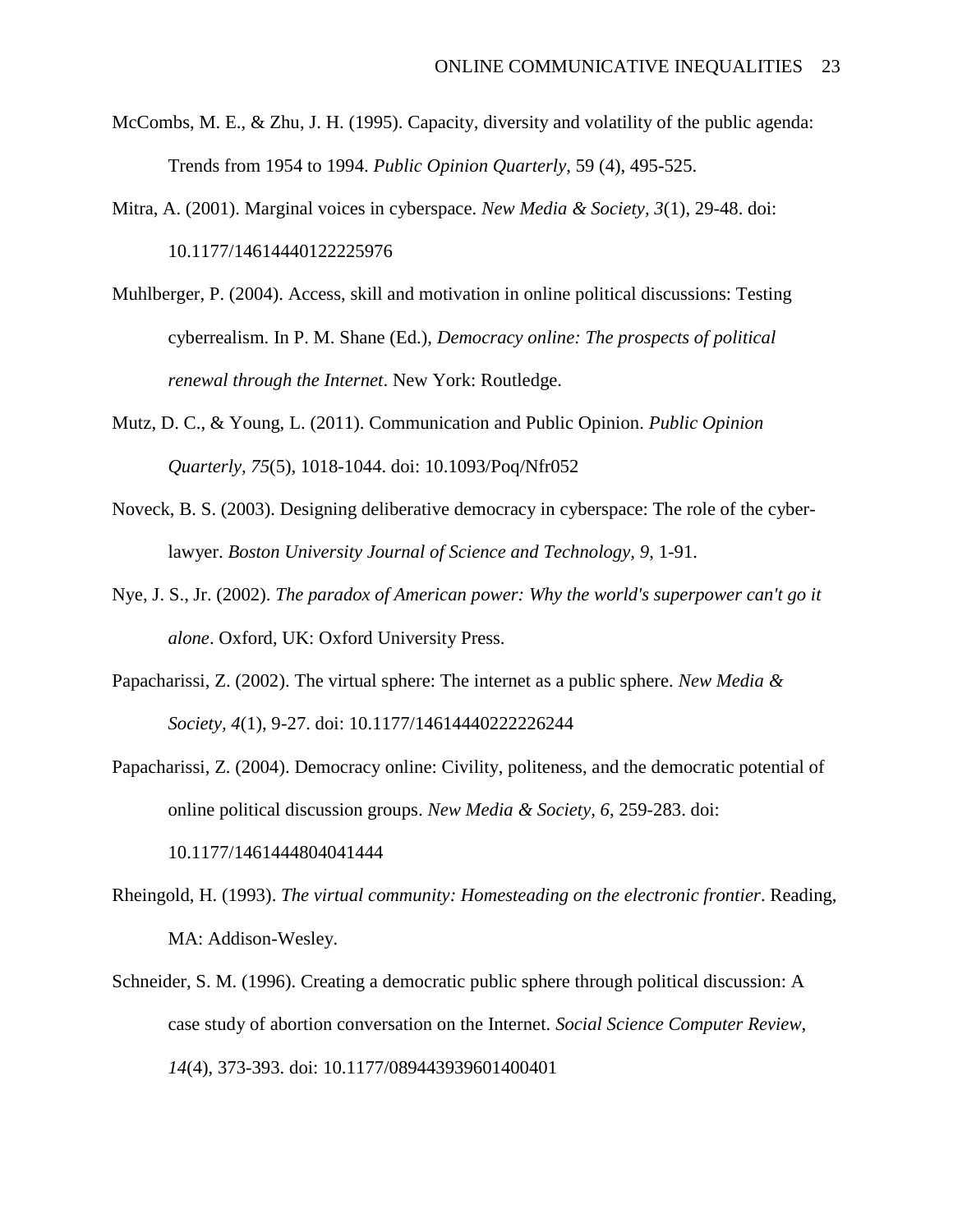- McCombs, M. E., & Zhu, J. H. (1995). Capacity, diversity and volatility of the public agenda: Trends from 1954 to 1994. *Public Opinion Quarterly*, 59 (4), 495-525.
- Mitra, A. (2001). Marginal voices in cyberspace. *New Media & Society, 3*(1), 29-48. [doi:](http://dx.doi.org/10.1177%2F14614440122225976)  [10.1177/14614440122225976](http://dx.doi.org/10.1177%2F14614440122225976)
- Muhlberger, P. (2004). Access, skill and motivation in online political discussions: Testing cyberrealism. In P. M. Shane (Ed.), *Democracy online: The prospects of political renewal through the Internet*. New York: Routledge.
- Mutz, D. C., & Young, L. (2011). Communication and Public Opinion. *Public Opinion Quarterly, 75*(5), 1018-1044. doi: 10.1093/Poq/Nfr052
- Noveck, B. S. (2003). Designing deliberative democracy in cyberspace: The role of the cyberlawyer. *Boston University Journal of Science and Technology, 9*, 1-91.
- Nye, J. S., Jr. (2002). *The paradox of American power: Why the world's superpower can't go it alone*. Oxford, UK: Oxford University Press.
- Papacharissi, Z. (2002). The virtual sphere: The internet as a public sphere. *New Media & Society, 4*(1), 9-27. [doi: 10.1177/14614440222226244](http://dx.doi.org/10.1177%2F14614440222226244)
- Papacharissi, Z. (2004). Democracy online: Civility, politeness, and the democratic potential of online political discussion groups. *New Media & Society, 6*, 259-283. [doi:](http://dx.doi.org/10.1177%2F1461444804041444)

[10.1177/1461444804041444](http://dx.doi.org/10.1177%2F1461444804041444)

- <span id="page-22-0"></span>Rheingold, H. (1993). *The virtual community: Homesteading on the electronic frontier*. Reading, MA: Addison-Wesley.
- Schneider, S. M. (1996). Creating a democratic public sphere through political discussion: A case study of abortion conversation on the Internet. *Social Science Computer Review, 14*(4), 373-393. [doi: 10.1177/089443939601400401](http://dx.doi.org/10.1177%2F089443939601400401)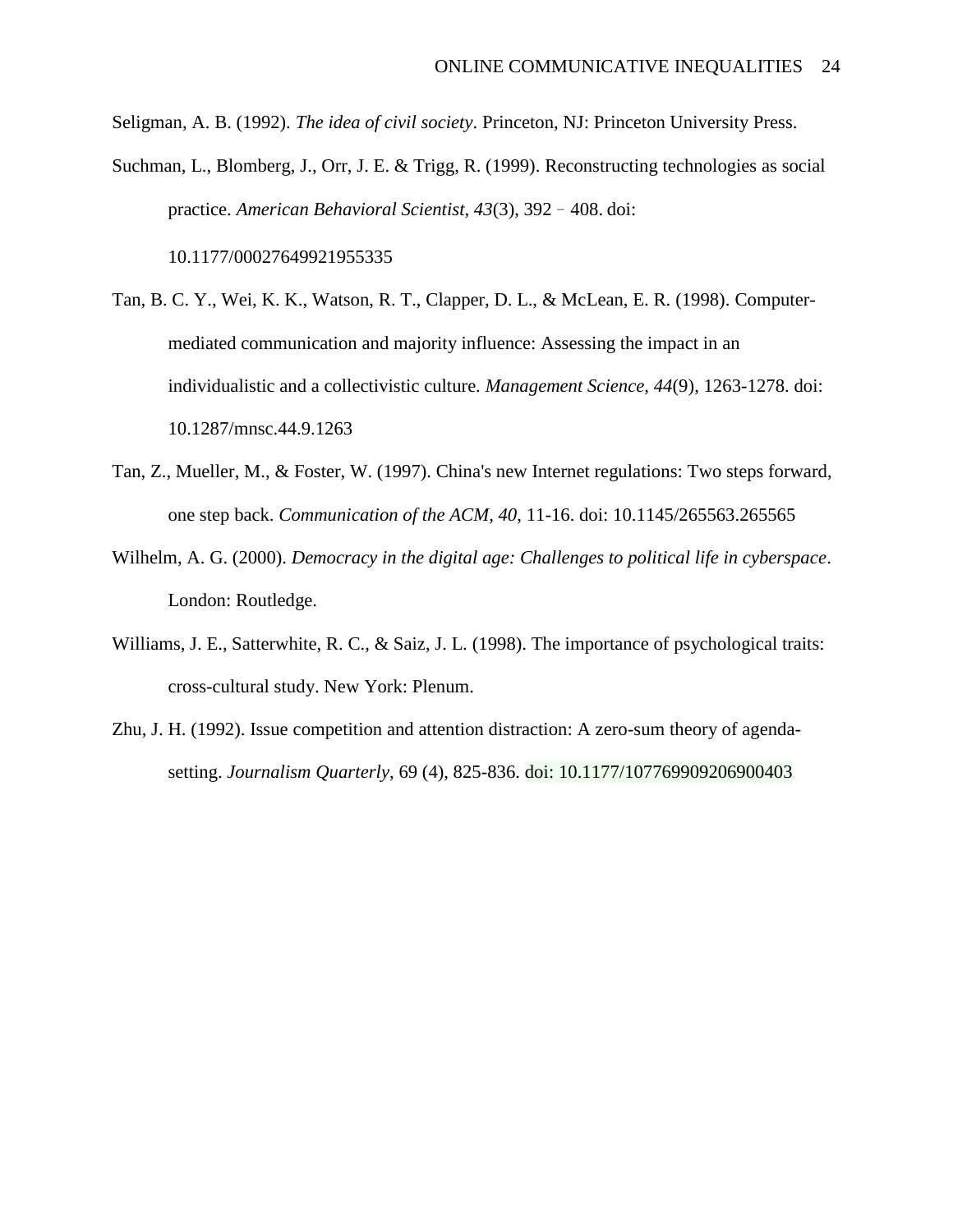Seligman, A. B. (1992). *The idea of civil society*. Princeton, NJ: Princeton University Press.

Suchman, L., Blomberg, J., Orr, J. E. & Trigg, R. (1999). Reconstructing technologies as social practice. *American Behavioral Scientist, 43*(3), 392–408. [doi:](http://dx.doi.org/10.1177%2F00027649921955335)

[10.1177/00027649921955335](http://dx.doi.org/10.1177%2F00027649921955335)

- Tan, B. C. Y., Wei, K. K., Watson, R. T., Clapper, D. L., & McLean, E. R. (1998). Computermediated communication and majority influence: Assessing the impact in an individualistic and a collectivistic culture. *Management Science, 44*(9), 1263-1278. doi: 10.1287/mnsc.44.9.1263
- Tan, Z., Mueller, M., & Foster, W. (1997). China's new Internet regulations: Two steps forward, one step back. *Communication of the ACM, 40*, 11-16. [doi: 10.1145/265563.265565](http://dx.doi.org/10.1145%2F265563.265565)
- Wilhelm, A. G. (2000). *Democracy in the digital age: Challenges to political life in cyberspace*. London: Routledge.
- Williams, J. E., Satterwhite, R. C., & Saiz, J. L. (1998). The importance of psychological traits: cross-cultural study. New York: Plenum.
- Zhu, J. H. (1992). Issue competition and attention distraction: A zero-sum theory of agendasetting. *Journalism Quarterly*, 69 (4), 825-836. [doi: 10.1177/107769909206900403](http://dx.doi.org/10.1177%2F107769909206900403)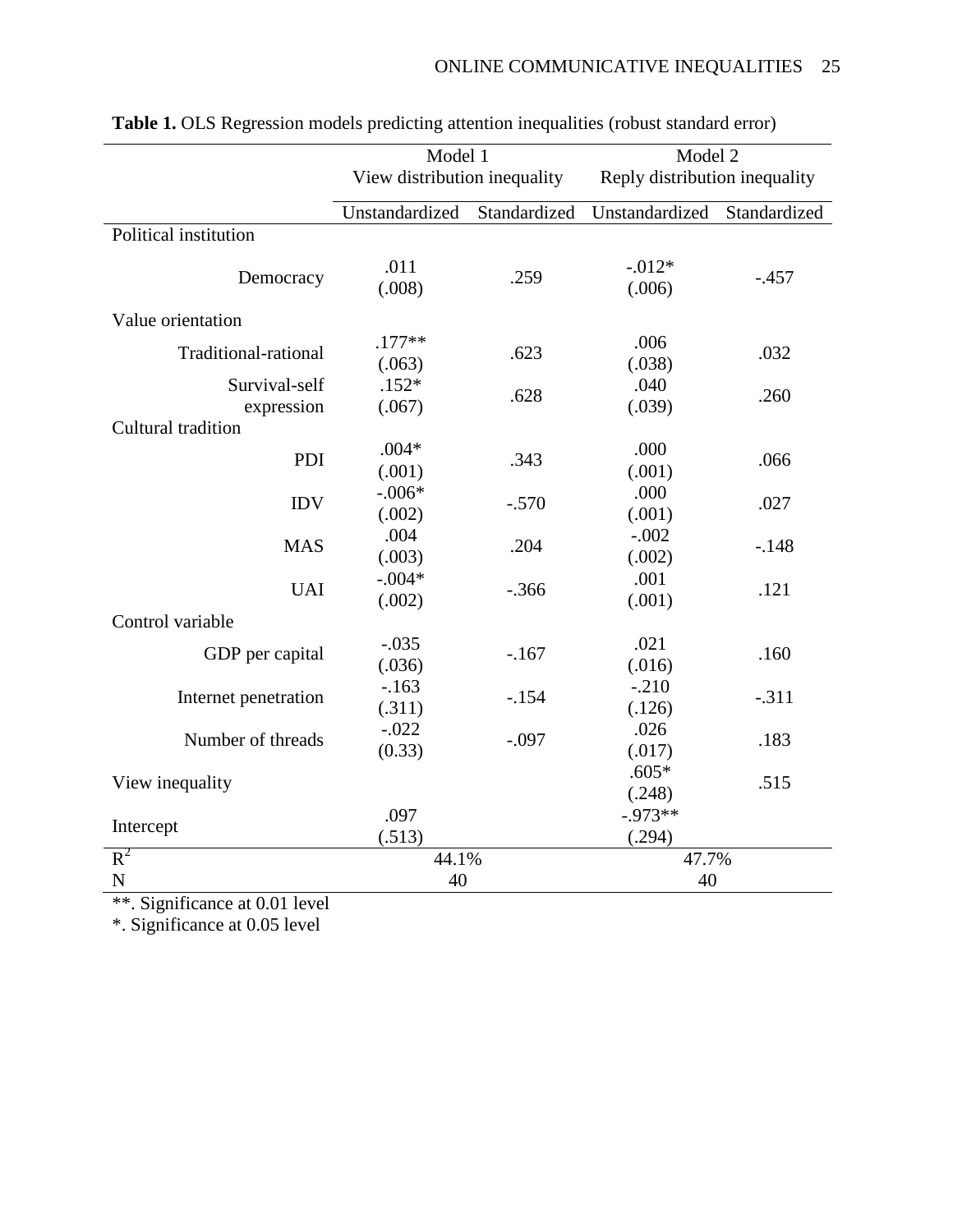|                             | Model 1                      |              | Model 2                       |              |  |
|-----------------------------|------------------------------|--------------|-------------------------------|--------------|--|
|                             | View distribution inequality |              | Reply distribution inequality |              |  |
|                             | Unstandardized               | Standardized | Unstandardized                | Standardized |  |
| Political institution       |                              |              |                               |              |  |
| Democracy                   | .011<br>(.008)               | .259         | $-0.012*$<br>(.006)           | $-.457$      |  |
| Value orientation           |                              |              |                               |              |  |
| Traditional-rational        | $.177**$<br>(.063)           | .623         | .006<br>(.038)                | .032         |  |
| Survival-self<br>expression | $.152*$<br>(.067)            | .628         | .040<br>(.039)                | .260         |  |
| Cultural tradition          |                              |              |                               |              |  |
| PDI                         | $.004*$<br>(.001)            | .343         | .000<br>(.001)                | .066         |  |
| <b>IDV</b>                  | $-.006*$<br>(.002)           | $-.570$      | .000<br>(.001)                | .027         |  |
| <b>MAS</b>                  | .004<br>(.003)               | .204         | $-.002$<br>(.002)             | $-.148$      |  |
| <b>UAI</b>                  | $-.004*$<br>(.002)           | $-.366$      | .001<br>(.001)                | .121         |  |
| Control variable            |                              |              |                               |              |  |
| GDP per capital             | $-.035$<br>(.036)            | $-167$       | .021<br>(.016)                | .160         |  |
| Internet penetration        | $-.163$<br>(.311)            | $-154$       | $-.210$<br>(.126)             | $-.311$      |  |
| Number of threads           | $-.022$<br>(0.33)            | $-.097$      | .026<br>(.017)                | .183         |  |
| View inequality             |                              |              | $.605*$<br>(.248)             | .515         |  |
| Intercept                   | .097<br>(.513)               |              | $-.973**$<br>(.294)           |              |  |
| $R^2$                       | 44.1%                        |              | 47.7%                         |              |  |
| ${\bf N}$                   | 40                           |              | 40                            |              |  |

| Table 1. OLS Regression models predicting attention inequalities (robust standard error) |  |  |  |
|------------------------------------------------------------------------------------------|--|--|--|
|                                                                                          |  |  |  |

\*\*. Significance at 0.01 level

\*. Significance at 0.05 level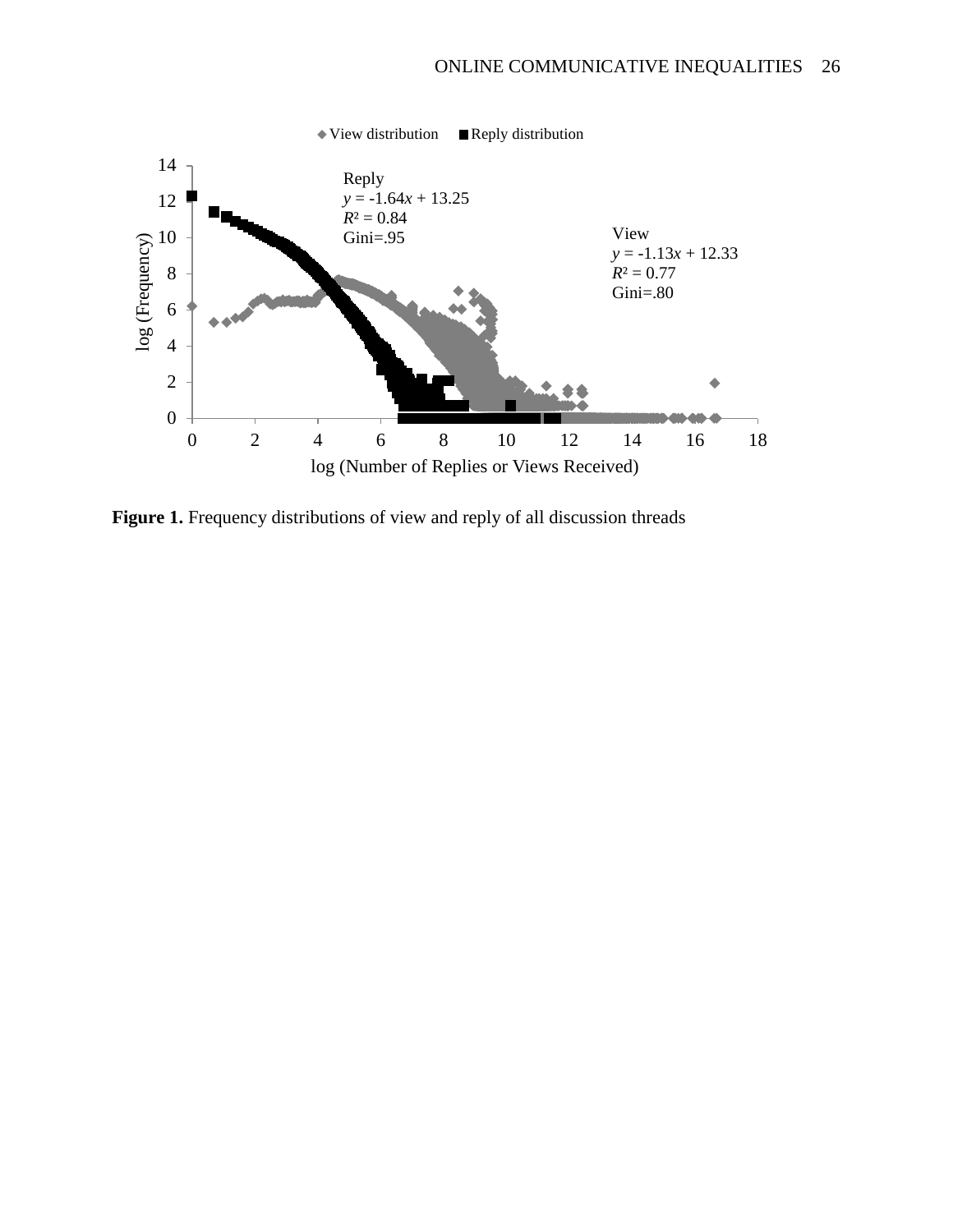

Figure 1. Frequency distributions of view and reply of all discussion threads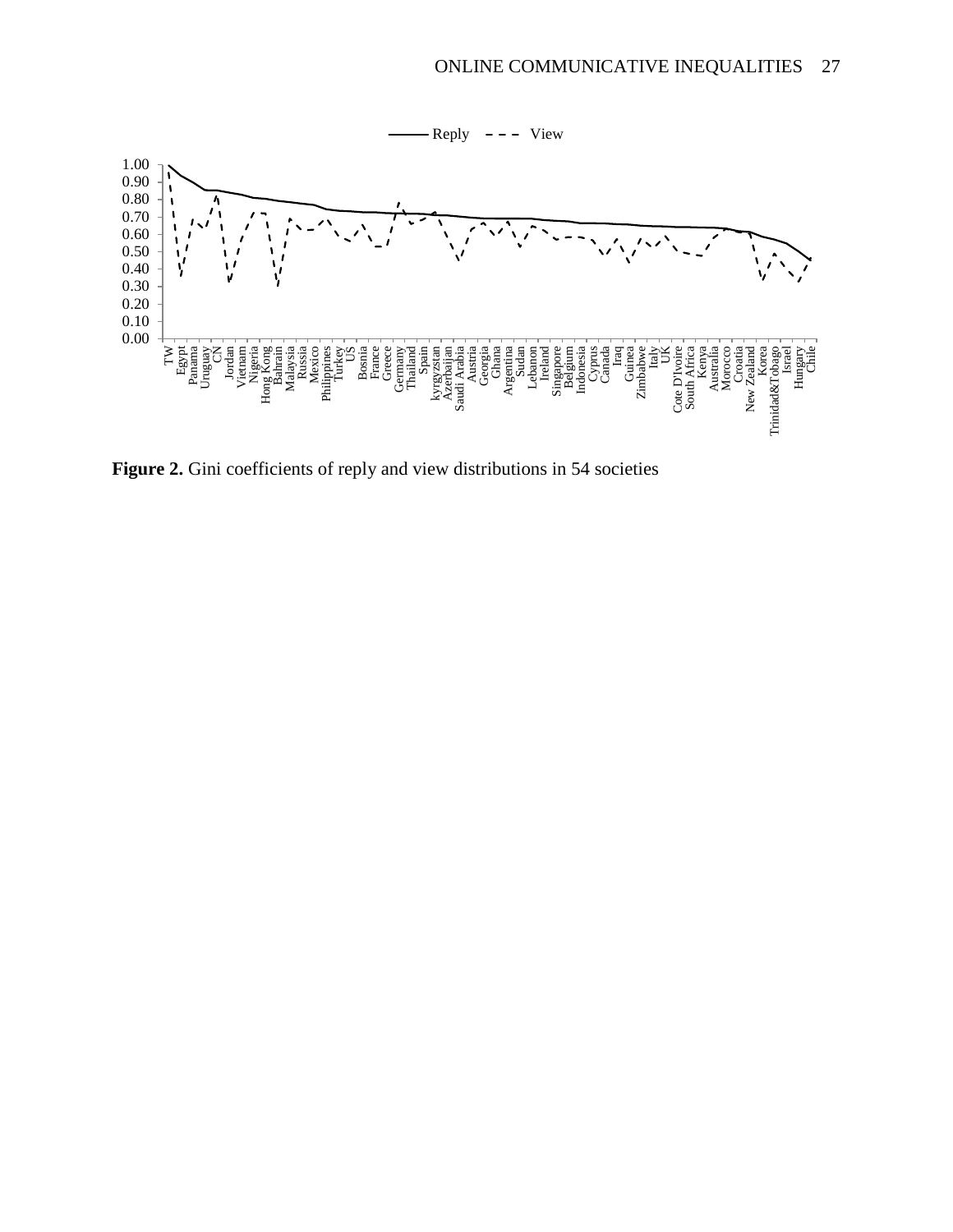

**Figure 2.** Gini coefficients of reply and view distributions in 54 societies